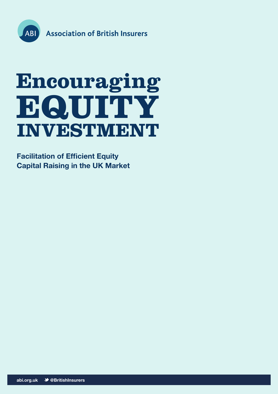

# **Encouraging EQUITY INVESTMENT**

**Facilitation of Efficient Equity Capital Raising in the UK Market**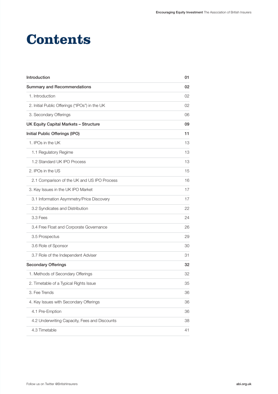### **Contents**

| Introduction                                   | 01 |
|------------------------------------------------|----|
| <b>Summary and Recommendations</b>             | 02 |
| 1. Introduction                                | 02 |
| 2. Initial Public Offerings ("IPOs") in the UK | 02 |
| 3. Secondary Offerings                         | 06 |
| <b>UK Equity Capital Markets - Structure</b>   | 09 |
| Initial Public Offerings (IPO)                 | 11 |
| 1. IPOs in the UK                              | 13 |
| 1.1 Regulatory Regime                          | 13 |
| 1.2 Standard UK IPO Process                    | 13 |
| 2. IPOs in the US                              | 15 |
| 2.1 Comparison of the UK and US IPO Process    | 16 |
| 3. Key Issues in the UK IPO Market             | 17 |
| 3.1 Information Asymmetry/Price Discovery      | 17 |
| 3.2 Syndicates and Distribution                | 22 |
| 3.3 Fees                                       | 24 |
| 3.4 Free Float and Corporate Governance        | 26 |
| 3.5 Prospectus                                 | 29 |
| 3.6 Role of Sponsor                            | 30 |
| 3.7 Role of the Independent Adviser            | 31 |
| <b>Secondary Offerings</b>                     | 32 |
| 1. Methods of Secondary Offerings              | 32 |
| 2. Timetable of a Typical Rights Issue         | 35 |
| 3. Fee Trends                                  | 36 |
| 4. Key Issues with Secondary Offerings         | 36 |
| 4.1 Pre-Emption                                | 36 |
| 4.2 Underwriting Capacity, Fees and Discounts  | 38 |
| 4.3 Timetable                                  | 41 |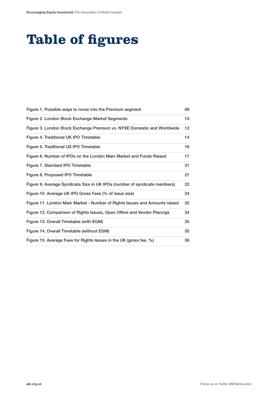# **Table of figures**

| Figure 1. Possible ways to move into the Premium segment                   | 09 |
|----------------------------------------------------------------------------|----|
| Figure 2. London Stock Exchange Market Segments                            | 10 |
| Figure 3. London Stock Exchange Premium vs. NYSE Domestic and Worldwide    | 12 |
| Figure 4. Traditional UK IPO Timetable                                     | 14 |
| Figure 5. Traditional US IPO Timetable                                     | 16 |
| Figure 6. Number of IPOs on the London Main Market and Funds Raised        | 17 |
| Figure 7. Standard IPO Timetable                                           | 21 |
| Figure 8. Proposed IPO Timetable                                           | 21 |
| Figure 9. Average Syndicate Size in UK IPOs (number of syndicate members)  | 22 |
| Figure 10. Average UK IPO Gross Fees (% of issue size)                     | 24 |
| Figure 11. London Main Market - Number of Rights Issues and Amounts raised | 32 |
| Figure 12. Comparison of Rights Issues, Open Offers and Vendor Placings    | 34 |
| Figure 13. Overall Timetable (with EGM)                                    | 35 |
| Figure 14. Overall Timetable (without EGM)                                 | 35 |
| Figure 15. Average Fees for Rights Issues in the UK (gross fee, %)         | 36 |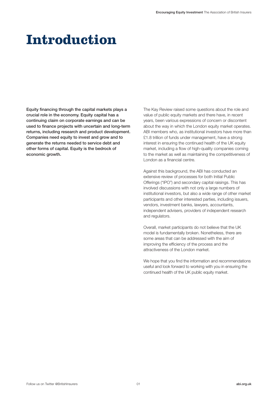# **Introduction**

Equity financing through the capital markets plays a crucial role in the economy. Equity capital has a continuing claim on corporate earnings and can be used to finance projects with uncertain and long-term returns, including research and product development. Companies need equity to invest and grow and to generate the returns needed to service debt and other forms of capital. Equity is the bedrock of economic growth.

The Kay Review raised some questions about the role and value of public equity markets and there have, in recent years, been various expressions of concern or discontent about the way in which the London equity market operates. ABI members who, as institutional investors have more than £1.8 trillion of funds under management, have a strong interest in ensuring the continued health of the UK equity market, including a flow of high-quality companies coming to the market as well as maintaining the competitiveness of London as a financial centre.

Against this background, the ABI has conducted an extensive review of processes for both Initial Public Offerings ("IPO") and secondary capital raisings. This has involved discussions with not only a large numbers of institutional investors, but also a wide range of other market participants and other interested parties, including issuers, vendors, investment banks, lawyers, accountants, independent advisers, providers of independent research and regulators.

Overall, market participants do not believe that the UK model is fundamentally broken. Nonetheless, there are some areas that can be addressed with the aim of improving the efficiency of the process and the attractiveness of the London market.

We hope that you find the information and recommendations useful and look forward to working with you in ensuring the continued health of the UK public equity market.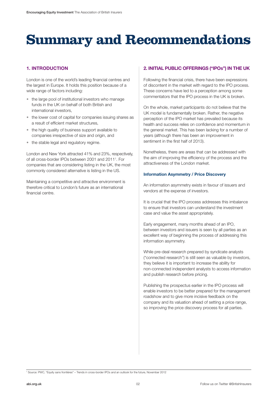# **Summary and Recommendations**

#### **1. INTRODUCTION**

London is one of the world's leading financial centres and the largest in Europe. It holds this position because of a wide range of factors including:

- the large pool of institutional investors who manage funds in the UK on behalf of both British and international investors,
- the lower cost of capital for companies issuing shares as a result of efficient market structures,
- the high quality of business support available to companies irrespective of size and origin, and
- the stable legal and regulatory regime.

London and New York attracted 41% and 23%, respectively, of all cross-border IPOs between 2001 and 20111 . For companies that are considering listing in the UK, the most commonly considered alternative is listing in the US.

Maintaining a competitive and attractive environment is therefore critical to London's future as an international financial centre.

#### **2. INITIAL PUBLIC OFFERINGS ("IPOs") IN THE UK**

Following the financial crisis, there have been expressions of discontent in the market with regard to the IPO process. These concerns have led to a perception among some commentators that the IPO process in the UK is broken.

On the whole, market participants do not believe that the UK model is fundamentally broken. Rather, the negative perception of the IPO market has prevailed because its health and success relies on confidence and momentum in the general market. This has been lacking for a number of years (although there has been an improvement in sentiment in the first half of 2013).

Nonetheless, there are areas that can be addressed with the aim of improving the efficiency of the process and the attractiveness of the London market.

#### **Information Asymmetry / Price Discovery**

An information asymmetry exists in favour of issuers and vendors at the expense of investors.

It is crucial that the IPO process addresses this imbalance to ensure that investors can understand the investment case and value the asset appropriately.

Early engagement, many months ahead of an IPO, between investors and issuers is seen by all parties as an excellent way of beginning the process of addressing this information asymmetry.

While pre-deal research prepared by syndicate analysts ("connected research") is still seen as valuable by investors, they believe it is important to increase the ability for non-connected independent analysts to access information and publish research before pricing.

Publishing the prospectus earlier in the IPO process will enable investors to be better prepared for the management roadshow and to give more incisive feedback on the company and its valuation ahead of setting a price range, so improving the price discovery process for all parties.

1 Source: PWC, "Equity sans frontières" – Trends in cross-border IPOs and an outlook for the future, November 2012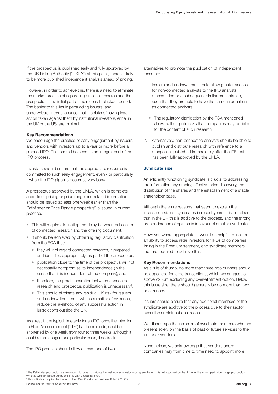If the prospectus is published early and fully approved by the UK Listing Authority ("UKLA") at this point, there is likely to be more published independent analysis ahead of pricing.

However, in order to achieve this, there is a need to eliminate the market practice of separating pre-deal research and the prospectus – the initial part of the research blackout period. The barrier to this lies in persuading issuers' and underwriters' internal counsel that the risks of having legal action taken against them by institutional investors, either in the UK or the US, are minimal.

#### **Key Recommendations**

We encourage the practice of early engagement by issuers and vendors with investors up to a year or more before a planned IPO. This should be seen as an integral part of the IPO process.

Investors should ensure that the appropriate resource is committed to such early engagement, even - or particularly - when the IPO pipeline becomes very busy.

A prospectus approved by the UKLA, which is complete apart from pricing or price range and related information, should be issued at least one week earlier than the Pathfinder or Price Range prospectus<sup>2</sup> is issued in current practice.

- This will require eliminating the delay between publication of connected research and the offering document.
- It should be achieved by obtaining regulatory clarification from the FCA that:
	- they will not regard connected research, if prepared and identified appropriately, as part of the prospectus,
	- publication close to the time of the prospectus will not necessarily compromise its independence (in the sense that it is independent of the company), and
	- therefore, temporal separation between connected research and prospectus publication is unnecessary<sup>3</sup>.
	- This should eliminate any residual UK risk for issuers and underwriters and it will, as a matter of evidence, reduce the likelihood of any successful action in jurisdictions outside the UK.

As a result, the typical timetable for an IPO, once the Intention to Float Announcement ("ITF") has been made, could be shortened by one week, from four to three weeks (although it could remain longer for a particular issue, if desired).

The IPO process should allow at least one of two

alternatives to promote the publication of independent research:

- 1. Issuers and underwriters should allow greater access for non-connected analysts to the IPO analysts' presentation or a subsequent similar presentation, such that they are able to have the same information as connected analysts.
	- The regulatory clarification by the FCA mentioned above will mitigate risks that companies may be liable for the content of such research.
- 2. Alternatively, non-connected analysts should be able to publish and distribute research with reference to a prospectus published immediately after the ITF that has been fully approved by the UKLA.

#### **Syndicate size**

An efficiently functioning syndicate is crucial to addressing the information asymmetry, effective price discovery, the distribution of the shares and the establishment of a stable shareholder base.

Although there are reasons that seem to explain the increase in size of syndicates in recent years, it is not clear that in the UK this is additive to the process, and the strong preponderance of opinion is in favour of smaller syndicates.

However, where appropriate, it would be helpful to include an ability to access retail investors for IPOs of companies listing in the Premium segment, and syndicate members that are required to achieve this.

#### **Key Recommendations**

As a rule of thumb, no more than three bookrunners should be appointed for large transactions, which we suggest is above £250m excluding any over-allotment option. Below this issue size, there should generally be no more than two bookrunners.

Issuers should ensure that any additional members of the syndicate are additive to the process due to their sector expertise or distributional reach.

We discourage the inclusion of syndicate members who are present solely on the basis of past or future services to the issuer or vendors.

Nonetheless, we acknowledge that vendors and/or companies may from time to time need to appoint more

Follow us on Twitter @BritishInsurers **abi.org.uk** abi.org.uk abi.org.uk abi.org.uk abi.org.uk abi.org.uk <sup>3</sup> This is likely to require clarification of the FCA's Conduct of Business Rule 12.2.12G.

<sup>&</sup>lt;sup>2</sup> The Pathfinder prospectus is a marketing document distributed to institutional investors during an offering. It is not approved by the UKLA (unlike a stamped Price Range prospectus which is typically issued during offerings with a retail tranche).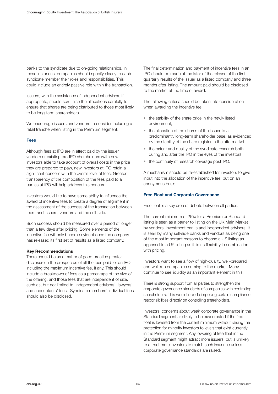banks to the syndicate due to on-going relationships. In these instances, companies should specify clearly to each syndicate member their roles and responsibilities. This could include an entirely passive role within the transaction.

Issuers, with the assistance of independent advisers if appropriate, should scrutinise the allocations carefully to ensure that shares are being distributed to those most likely to be long-term shareholders.

We encourage issuers and vendors to consider including a retail tranche when listing in the Premium segment.

#### **Fees**

Although fees at IPO are in effect paid by the issuer, vendors or existing pre-IPO shareholders (with new investors able to take account of overall costs in the price they are prepared to pay), new investors at IPO retain a significant concern with the overall level of fees. Greater transparency of the composition of the fees paid to all parties at IPO will help address this concern.

Investors would like to have some ability to influence the award of incentive fees to create a degree of alignment in the assessment of the success of the transaction between them and issuers, vendors and the sell-side.

Such success should be measured over a period of longer than a few days after pricing. Some elements of the incentive fee will only become evident once the company has released its first set of results as a listed company.

#### **Key Recommendations**

There should be as a matter of good practice greater disclosure in the prospectus of all the fees paid for an IPO, including the maximum incentive fee, if any. This should include a breakdown of fees as a percentage of the size of the offering, and those fees that are independent of size, such as, but not limited to, independent advisers', lawyers' and accountants' fees. Syndicate members' individual fees should also be disclosed.

The final determination and payment of incentive fees in an IPO should be made at the later of the release of the first quarterly results of the issuer as a listed company and three months after listing. The amount paid should be disclosed to the market at the time of award.

The following criteria should be taken into consideration when awarding the incentive fee:

- the stability of the share price in the newly listed environment,
- the allocation of the shares of the issuer to a predominantly long-term shareholder base, as evidenced by the stability of the share register in the aftermarket,
- the extent and quality of the syndicate research both, during and after the IPO in the eyes of the investors,
- the continuity of research coverage post IPO.

A mechanism should be re-established for investors to give input into the allocation of the incentive fee, but on an anonymous basis.

#### **Free Float and Corporate Governance**

Free float is a key area of debate between all parties.

The current minimum of 25% for a Premium or Standard listing is seen as a barrier to listing on the UK Main Market by vendors, investment banks and independent advisers. It is seen by many sell-side banks and vendors as being one of the most important reasons to choose a US listing as opposed to a UK listing as it limits flexibility in combination with pricing.

Investors want to see a flow of high-quality, well-prepared and well-run companies coming to the market. Many continue to see liquidity as an important element in this.

There is strong support from all parties to strengthen the corporate governance standards of companies with controlling shareholders. This would include imposing certain compliance responsibilities directly on controlling shareholders.

Investors' concerns about weak corporate governance in the Standard segment are likely to be exacerbated if the free float is lowered from the current minimum without raising the protection for minority investors to levels that exist currently in the Premium segment. Any lowering of free float in the Standard segment might attract more issuers, but is unlikely to attract more investors to match such issuance unless corporate governance standards are raised.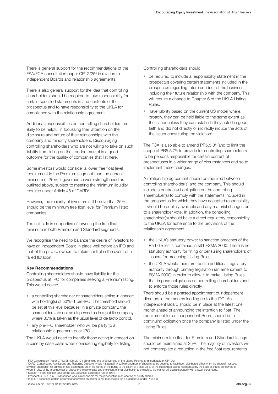There is general support for the recommendations of the FSA/FCA consultation paper CP12/25<sup>4</sup> in relation to independent Boards and relationship agreements.

There is also general support for the idea that controlling shareholders should be required to take responsibility for certain specified statements in and contents of the prospectus and to have responsibility to the UKLA for compliance with the relationship agreement.

Additional responsibilities on controlling shareholders are likely to be helpful in focussing their attention on the disclosure and nature of their relationships with the company and minority shareholders. Discouraging controlling shareholders who are not willing to take on such liability from listing on the London market is a good outcome for the quality of companies that list here.

Some investors would consider a lower free float level requirement in the Premium segment than the current minimum of 25%, if governance were strengthened as outlined above, subject to meeting the minimum liquidity required under Article 48 of CARD<sup>5</sup>.

However, the majority of investors still believe that 25% should be the minimum free float level for Premium listed companies.

The sell-side is supportive of lowering the free float minimum in both Premium and Standard segments.

We recognise the need to balance the desire of investors to have an independent Board in place well before an IPO and that of the private owners to retain control in the event of a failed flotation.

#### **Key Recommendations**

Controlling shareholders should have liability for the prospectus at IPO for companies seeking a Premium listing. This would cover:

- a controlling shareholder or shareholders acting in concert with holding(s) of 50%+1 pre-IPO. The threshold should be set at this level because, in a private company, the shareholders are not as dispersed as in a public company where 30% is taken as the usual level of de facto control,
- any pre-IPO shareholder who will be party to a relationship agreement post-IPO.

The UKLA would need to identify those acting in concert on a case by case basis when considering eligibility for listing.

Controlling shareholders should:

- be required to include a responsibility statement in the prospectus covering certain statements included in the prospectus regarding future conduct of the business, including their future relationship with the company. This will require a change to Chapter 6 of the UKLA Listing Rules.
- have liability based on the current US model where, broadly, they can be held liable to the same extent as the issuer unless they can establish they acted in good faith and did not directly or indirectly induce the acts of the issuer constituting the violation<sup>6</sup>.

The FCA is also able to amend PR5.5.3<sup>7</sup> (and to limit the scope of PR5.5.7<sup>8</sup>) to provide for controlling shareholders to be persons responsible for certain content of prospectuses in a wider range of circumstances and so to implement these changes.

A relationship agreement should be required between controlling shareholder(s) and the company. This should include a contractual obligation on the controlling shareholder(s) to comply with the statements included in the prospectus for which they have accepted responsibility. It should be publicly available and any material changes put to a shareholder vote. In addition, the controlling shareholder(s) should have a direct regulatory responsibility to the UKLA for adherence to the provisions of the relationship agreement:

- the UKLA's statutory power to sanction breaches of the Part 6 rules is contained in s91 FSMA 2000. There is no statutory authority for fining or censuring shareholders of issuers for breaching Listing Rules,
- the UKLA would therefore require additional regulatory authority through primary legislation (an amendment to FSMA 2000) in order to allow it to make Listing Rules that impose obligations on controlling shareholders and to enforce those rules directly.

There should be a phased appointment of independent directors in the months leading up to the IPO. An independent Board should be in place at the latest one month ahead of announcing the intention to float. The requirement for an independent Board should be a continuing obligation once the company is listed under the Listing Rules.

The minimum free float for Premium and Standard listings should be maintained at 25%. The majority of investors will not contemplate a reduction in the free float requirements

<sup>4</sup> FSA Consultation Paper CP12/25 (Oct 2012): Enhancing the effectiveness of the Listing Regime and feedback on CP12/2<br>5 CARD: Consolidated Admissions and Reporting Directive. Atticle 48, para 5. A sufficient number of shar when, in view of the large number of shares of the same class and the extent of their distribution to the public, the market will operate properly with a lower percentage.<br><sup>6</sup> Section 15 and section 20(a) of the US Securit

<sup>&</sup>lt;sup>8</sup> PR5.5.7 describes certain circumstances when an offeror is not responsible for a prospectus under PR5.5.3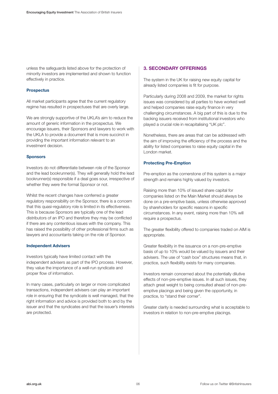unless the safeguards listed above for the protection of minority investors are implemented and shown to function effectively in practice.

#### **Prospectus**

All market participants agree that the current regulatory regime has resulted in prospectuses that are overly large.

We are strongly supportive of the UKLA's aim to reduce the amount of generic information in the prospectus. We encourage issuers, their Sponsors and lawyers to work with the UKLA to provide a document that is more succinct in providing the important information relevant to an investment decision.

#### **Sponsors**

Investors do not differentiate between role of the Sponsor and the lead bookrunner(s). They will generally hold the lead bookrunner(s) responsible if a deal goes sour, irrespective of whether they were the formal Sponsor or not.

Whilst the recent changes have conferred a greater regulatory responsibility on the Sponsor, there is a concern that this quasi-regulatory role is limited in its effectiveness. This is because Sponsors are typically one of the lead distributors of an IPO and therefore they may be conflicted if there are any contentious issues with the company. This has raised the possibility of other professional firms such as lawyers and accountants taking on the role of Sponsor.

#### **Independent Advisers**

Investors typically have limited contact with the independent advisers as part of the IPO process. However, they value the importance of a well-run syndicate and proper flow of information.

In many cases, particularly on larger or more complicated transactions, independent advisers can play an important role in ensuring that the syndicate is well managed, that the right information and advice is provided both to and by the issuer and that the syndicates and that the issuer's interests are protected.

#### **3. SECONDARY OFFERINGS**

The system in the UK for raising new equity capital for already listed companies is fit for purpose.

Particularly during 2008 and 2009, the market for rights issues was considered by all parties to have worked well and helped companies raise equity finance in very challenging circumstances. A big part of this is due to the backing issuers received from institutional investors who played a crucial role in recapitalising "UK plc".

Nonetheless, there are areas that can be addressed with the aim of improving the efficiency of the process and the ability for listed companies to raise equity capital in the London market.

#### **Protecting Pre-Emption**

Pre-emption as the cornerstone of this system is a major strength and remains highly valued by investors.

Raising more than 10% of issued share capital for companies listed on the Main Market should always be done on a pre-emptive basis, unless otherwise approved by shareholders for specific reasons in specific circumstances. In any event, raising more than 10% will require a prospectus.

The greater flexibility offered to companies traded on AIM is appropriate.

Greater flexibility in the issuance on a non-pre-emptive basis of up to 10% would be valued by issuers and their advisers. The use of "cash box" structures means that, in practice, such flexibility exists for many companies.

Investors remain concerned about the potentially dilutive effects of non-pre-emptive issues. In all such issues, they attach great weight to being consulted ahead of non-preemptive placings and being given the opportunity, in practice, to "stand their corner".

Greater clarity is needed surrounding what is acceptable to investors in relation to non-pre-emptive placings.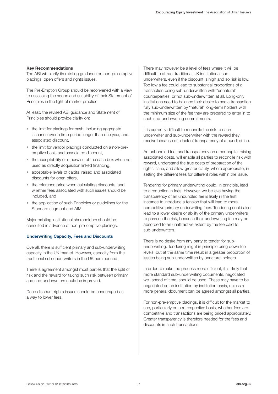#### **Key Recommendations**

The ABI will clarify its existing guidance on non-pre-emptive placings, open offers and rights issues.

The Pre-Emption Group should be reconvened with a view to assessing the scope and suitability of their Statement of Principles in the light of market practice.

At least, the revised ABI guidance and Statement of Principles should provide clarity on:

- the limit for placings for cash, including aggregate issuance over a time period longer than one year, and associated discount,
- the limit for vendor placings conducted on a non-preemptive basis and associated discount,
- the acceptability or otherwise of the cash box when not used as directly acquisition linked financing,
- acceptable levels of capital raised and associated discounts for open offers,
- the reference price when calculating discounts, and whether fees associated with such issues should be included, and
- the application of such Principles or guidelines for the Standard segment and AIM.

Major existing institutional shareholders should be consulted in advance of non-pre-emptive placings.

#### **Underwriting Capacity, Fees and Discounts**

Overall, there is sufficient primary and sub-underwriting capacity in the UK market. However, capacity from the traditional sub-underwriters in the UK has reduced.

There is agreement amongst most parties that the split of risk and the reward for taking such risk between primary and sub-underwriters could be improved.

Deep discount rights issues should be encouraged as a way to lower fees.

There may however be a level of fees where it will be difficult to attract traditional UK institutional subunderwriters, even if the discount is high and so risk is low. Too low a fee could lead to substantial proportions of a transaction being sub-underwritten with "unnatural" counterparties, or not sub-underwritten at all. Long-only institutions need to balance their desire to see a transaction fully sub-underwritten by "natural" long-term holders with the minimum size of the fee they are prepared to enter in to such sub-underwriting commitments.

It is currently difficult to reconcile the risk to each underwriter and sub-underwriter with the reward they receive because of a lack of transparency of a bundled fee.

An unbundled fee, and transparency on other capital raising associated costs, will enable all parties to reconcile risk with reward, understand the true costs of preparation of the rights issue, and allow greater clarity, where appropriate, in setting the different fees for different roles within the issue.

Tendering for primary underwriting could, in principle, lead to a reduction in fees. However, we believe having the transparency of an unbundled fee is likely in the first instance to introduce a tension that will lead to more competitive primary underwriting fees. Tendering could also lead to a lower desire or ability of the primary underwriters to pass on the risk, because their underwriting fee may be absorbed to an unattractive extent by the fee paid to sub-underwriters.

There is no desire from any party to tender for subunderwriting. Tendering might in principle bring down fee levels, but at the same time result in a greater proportion of issues being sub-underwritten by unnatural holders.

In order to make the process more efficient, it is likely that more standard sub-underwriting documents, negotiated well ahead of time, should be used. These may have to be negotiated on an institution by institution basis, unless a more general document can be agreed amongst all parties.

For non-pre-emptive placings, it is difficult for the market to see, particularly on a retrospective basis, whether fees are competitive and transactions are being priced appropriately. Greater transparency is therefore needed for the fees and discounts in such transactions.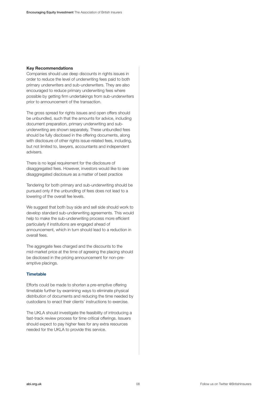#### **Key Recommendations**

Companies should use deep discounts in rights issues in order to reduce the level of underwriting fees paid to both primary underwriters and sub-underwriters. They are also encouraged to reduce primary underwriting fees where possible by getting firm undertakings from sub-underwriters prior to announcement of the transaction.

The gross spread for rights issues and open offers should be unbundled, such that the amounts for advice, including document preparation, primary underwriting and subunderwriting are shown separately. These unbundled fees should be fully disclosed in the offering documents, along with disclosure of other rights issue-related fees, including, but not limited to, lawyers, accountants and independent advisers.

There is no legal requirement for the disclosure of disaggregated fees. However, investors would like to see disaggregated disclosure as a matter of best practice

Tendering for both primary and sub-underwriting should be pursued only if the unbundling of fees does not lead to a lowering of the overall fee levels.

We suggest that both buy side and sell side should work to develop standard sub-underwriting agreements. This would help to make the sub-underwriting process more efficient particularly if institutions are engaged ahead of announcement, which in turn should lead to a reduction in overall fees.

The aggregate fees charged and the discounts to the mid-market price at the time of agreeing the placing should be disclosed in the pricing announcement for non-preemptive placings.

#### **Timetable**

Efforts could be made to shorten a pre-emptive offering timetable further by examining ways to eliminate physical distribution of documents and reducing the time needed by custodians to enact their clients' instructions to exercise.

The UKLA should investigate the feasibility of introducing a fast-track review process for time critical offerings. Issuers should expect to pay higher fees for any extra resources needed for the UKLA to provide this service.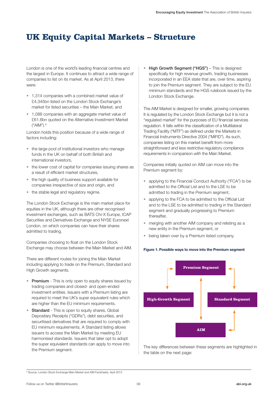### **UK Equity Capital Markets – Structure**

London is one of the world's leading financial centres and the largest in Europe. It continues to attract a wide range of companies to list on its market. As at April 2013, there were:

- 1,314 companies with a combined market value of £4,345bn listed on the London Stock Exchange's market for listed securities – the Main Market, and
- 1,088 companies with an aggregate market value of £61.6bn quoted on the Alternative Investment Market ("AIM").9

London holds this position because of a wide range of factors including:

- the large pool of institutional investors who manage funds in the UK on behalf of both British and international investors,
- the lower cost of capital for companies issuing shares as a result of efficient market structures,
- the high quality of business support available for companies irrespective of size and origin, and
- the stable legal and regulatory regime.

The London Stock Exchange is the main market place for equities in the UK, although there are other recognised investment exchanges, such as BATS Chi-X Europe, ICAP Securities and Derivatives Exchange and NYSE Euronext London, on which companies can have their shares admitted to trading.

Companies choosing to float on the London Stock Exchange may choose between the Main Market and AIM.

There are different routes for joining the Main Market including applying to trade on the Premium, Standard and High Growth segments.

- Premium This is only open to equity shares issued by trading companies and closed- and open-ended investment entities. Issuers with a Premium listing are required to meet the UK's super equivalent rules which are higher than the EU minimum requirements.
- Standard This is open to equity shares, Global Depositary Receipts ("GDRs"), debt securities, and securitised derivatives that are required to comply with EU minimum requirements. A Standard listing allows issuers to access the Main Market by meeting EU harmonised standards. Issuers that later opt to adopt the super equivalent standards can apply to move into the Premium segment.

High Growth Segment ("HGS") – This is designed specifically for high revenue growth, trading businesses incorporated in an EEA state that are, over time, aspiring to join the Premium segment. They are subject to the EU minimum standards and the HGS rulebook issued by the London Stock Exchange.

The AIM Market is designed for smaller, growing companies. It is regulated by the London Stock Exchange but it is not a "regulated market" for the purposes of EU financial services regulation. It falls within the classification of a Multilateral Trading Facility ("MTF") as defined under the Markets in Financial Instruments Directive 2004 ("MiFID"). As such, companies listing on this market benefit from more straightforward and less restrictive regulatory compliance requirements in comparison with the Main Market.

Companies initially quoted on AIM can move into the Premium segment by:

- applying to the Financial Conduct Authority ("FCA") to be admitted to the Official List and to the LSE to be admitted to trading in the Premium segment,
- applying to the FCA to be admitted to the Official List and to the LSE to be admitted to trading in the Standard segment and gradually progressing to Premium thereafter,
- merging with another AIM company and relisting as a new entity in the Premium segment, or
- being taken over by a Premium listed company.





The key differences between these segments are highlighted in the table on the next page:

#### <sup>9</sup> Source: London Stock Exchange Main Market and AIM Factsheets, April 2013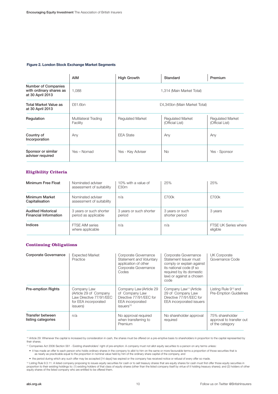#### **Figure 2. London Stock Exchange Market Segments**

|                                                                           | <b>AIM</b>                       | <b>High Growth</b>           | Standard                                   | Premium                             |  |  |  |  |  |  |  |
|---------------------------------------------------------------------------|----------------------------------|------------------------------|--------------------------------------------|-------------------------------------|--|--|--|--|--|--|--|
| <b>Number of Companies</b><br>with ordinary shares as<br>at 30 April 2013 | 1,088                            | 1,314 (Main Market Total)    |                                            |                                     |  |  |  |  |  |  |  |
| Total Market Value as<br>at 30 April 2013                                 | £61.6bn                          | £4,345bn (Main Market Total) |                                            |                                     |  |  |  |  |  |  |  |
| Regulation                                                                | Multilateral Trading<br>Facility | <b>Requlated Market</b>      | <b>Regulated Market</b><br>(Official List) | Regulated Market<br>(Official List) |  |  |  |  |  |  |  |
| Country of<br>Incorporation                                               | Any                              | <b>EEA State</b>             | Any                                        | Any                                 |  |  |  |  |  |  |  |
| Sponsor or similar<br>adviser required                                    | Yes - Nomad                      | Yes - Key Adviser            | <b>No</b>                                  | Yes - Sponsor                       |  |  |  |  |  |  |  |

#### **Eligibility Criteria**

| Minimum Free Float                                                                                           | Nominated adviser<br>assessment of suitability | 10% with a value of<br>£30m       | 25%                               | 25%                                     |
|--------------------------------------------------------------------------------------------------------------|------------------------------------------------|-----------------------------------|-----------------------------------|-----------------------------------------|
| <b>Minimum Market</b><br>Capitalisation                                                                      | Nominated adviser<br>assessment of suitability | n/a                               | £700k                             | £700k                                   |
| 3 years or such shorter<br><b>Audited Historical</b><br>period as applicable<br><b>Financial Information</b> |                                                | 3 years or such shorter<br>period | 3 years or such<br>shorter period | 3 years                                 |
| Indices                                                                                                      | <b>FTSE AIM series</b><br>where applicable     | n/a                               | n/a                               | <b>FTSE UK Series where</b><br>eligible |

#### **Continuing Obligations**

| Corporate Governance                   | <b>Expected Market</b><br>Practice                                                                   | Corporate Governance<br>Statement and Voluntary<br>application of other<br>Corporate Governance<br>Codes                 | Corporate Governance<br>Statement Issuer must<br>comply or explain against<br>its national code (if so<br>required by its domestic<br>law) or against a chosen<br>code | UK Corporate<br>Governance Code                                   |
|----------------------------------------|------------------------------------------------------------------------------------------------------|--------------------------------------------------------------------------------------------------------------------------|------------------------------------------------------------------------------------------------------------------------------------------------------------------------|-------------------------------------------------------------------|
| <b>Pre-emption Rights</b>              | Company Law<br>(Article 29 of Company<br>Law Directive 77/91/EEC<br>for EEA incorporated<br>issuers) | Company Law (Article 29<br>of Company Law<br>Directive 77/91/EEC for<br><b>EEA</b> incorporated<br>issuers <sup>10</sup> | Company Law <sup>11</sup> (Article<br>29 of Company Law<br>Directive 77/91/EEC for<br>EEA incorporated issuers                                                         | Listing Rule 9 <sup>12</sup> and<br><b>Pre-Emption Guidelines</b> |
| Transfer between<br>listing categories | n/a                                                                                                  | No approval required<br>when transferring to<br>Premium                                                                  | No shareholder approval<br>required                                                                                                                                    | 75% shareholder<br>approval to transfer out<br>of the category    |

<sup>10</sup> Article 29: Whenever the capital is increased by consideration in cash, the shares must be offered on a pre-emptive basis to shareholders in proportion to the capital represented by their shares.

11 Companies Act 2006 Section 561 - Existing shareholders' right of pre-emption: A company must not allot equity securities to a person on any terms unless:

it has made an offer to each person who holds ordinary shares in the company to allot to him on the same or more favourable terms a proportion of those securities that is<br>as nearly as practicable equal to the proportion in

• the period during which any such offer may be accepted [14 days] has expired or the company has received notice or refusal of every offer so made.

1º Listing Rule 9.3.11: A listed company proposing to issues equity securities for cash or to sell treasury shares that are equity shares for cash must first offer those equity securities in<br>proportion to their existing ho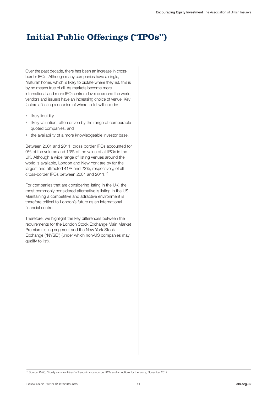### **Initial Public Offerings ("IPOs")**

Over the past decade, there has been an increase in crossborder IPOs. Although many companies have a single, "natural" home, which is likely to dictate where they list, this is by no means true of all. As markets become more international and more IPO centres develop around the world, vendors and issuers have an increasing choice of venue. Key factors affecting a decision of where to list will include:

- likely liquidity,
- likely valuation, often driven by the range of comparable quoted companies, and
- the availability of a more knowledgeable investor base.

Between 2001 and 2011, cross border IPOs accounted for 9% of the volume and 13% of the value of all IPOs in the UK. Although a wide range of listing venues around the world is available, London and New York are by far the largest and attracted 41% and 23%, respectively, of all cross-border IPOs between 2001 and 2011.13

For companies that are considering listing in the UK, the most commonly considered alternative is listing in the US. Maintaining a competitive and attractive environment is therefore critical to London's future as an international financial centre.

Therefore, we highlight the key differences between the requirements for the London Stock Exchange Main Market Premium listing segment and the New York Stock Exchange ("NYSE") (under which non-US companies may qualify to list).

13 Source: PWC, "Equity sans frontières" – Trends in cross-border IPOs and an outlook for the future, November 2012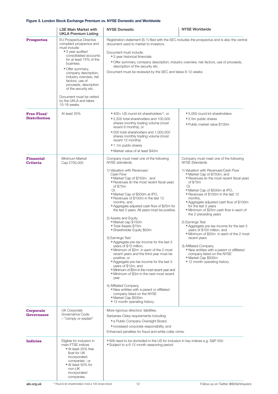#### **Figure 3. London Stock Exchange Premium vs. NYSE Domestic and Worldwide**

|                                           | <b>LSE Main Market with</b><br><b>UKLA Premium Listing</b>                                                                                                                                                                                                                                                                                                                     | <b>NYSE Domestic</b>                                                                                                                                                                                                                                                                                                                                                                                                                                                                                                                                                                                                                                                                                                                                                                                                                                                                                                                                                                                                                      | <b>NYSE Worldwide</b>                                                                                                                                                                                                                                                                                                                                                                                                                                                                                                                                                                                                                                                                                                                                       |
|-------------------------------------------|--------------------------------------------------------------------------------------------------------------------------------------------------------------------------------------------------------------------------------------------------------------------------------------------------------------------------------------------------------------------------------|-------------------------------------------------------------------------------------------------------------------------------------------------------------------------------------------------------------------------------------------------------------------------------------------------------------------------------------------------------------------------------------------------------------------------------------------------------------------------------------------------------------------------------------------------------------------------------------------------------------------------------------------------------------------------------------------------------------------------------------------------------------------------------------------------------------------------------------------------------------------------------------------------------------------------------------------------------------------------------------------------------------------------------------------|-------------------------------------------------------------------------------------------------------------------------------------------------------------------------------------------------------------------------------------------------------------------------------------------------------------------------------------------------------------------------------------------------------------------------------------------------------------------------------------------------------------------------------------------------------------------------------------------------------------------------------------------------------------------------------------------------------------------------------------------------------------|
| <b>Prospectus</b>                         | <b>EU Prospectus Directive</b><br>compliant prospectus and<br>must include:<br>• 3 year audited<br>consolidated accounts<br>for at least 75% of the<br>business.<br>• Offer summary,<br>company description,<br>industry overview, risk<br>factors, use of<br>proceeds, description<br>of the security etc.<br>Document must be vetted<br>by the UKLA and takes<br>10-16 weeks | Registration statement (S-1) filed with the SEC includes the prospectus and is also the central<br>document used to market to investors.<br>Document must include:<br>• 3 year historical financials<br>• Offer summary, company description, industry overview, risk factors, use of proceeds,<br>description of the security etc.<br>Document must be reviewed by the SEC and takes 8-12 weeks                                                                                                                                                                                                                                                                                                                                                                                                                                                                                                                                                                                                                                          |                                                                                                                                                                                                                                                                                                                                                                                                                                                                                                                                                                                                                                                                                                                                                             |
| <b>Free Float/</b><br><b>Distribution</b> | At least 25%                                                                                                                                                                                                                                                                                                                                                                   | • 400+ US round-lot shareholders <sup>14</sup> , or<br>• 2,200 total shareholders and 100,000<br>shares monthly trading volume (most<br>recent 6 months), or<br>.500 total shareholders and 1,000,000<br>shares monthly trading volume (most<br>recent 12 months)<br>• 1.1m public shares<br>• Market value of at least \$40m                                                                                                                                                                                                                                                                                                                                                                                                                                                                                                                                                                                                                                                                                                             | • 5,000 round lot shareholders<br>• 2.5m public shares<br>• Public market value \$100m                                                                                                                                                                                                                                                                                                                                                                                                                                                                                                                                                                                                                                                                      |
| <b>Financial</b><br><b>Criteria</b>       | Minimum Market<br>Cap £700,000                                                                                                                                                                                                                                                                                                                                                 | Company must meet one of the following<br>NYSE standards:<br>1) Valuation with Revenues/<br>Cash Flow<br>• Market Cap of \$750m, and<br>• Revenues (in the most recent fiscal year)<br>of \$75m<br>Or<br>• Market Cap of \$500m at IPO,<br>• Revenues of \$100m in the last 12<br>months, and<br>• Aggregate adjusted cash flow of \$25m for<br>the last 3 years. All years must be positive.<br>2) Assets and Equity<br>· Market cap \$150m<br>• Total Assets \$75m<br>• Shareholder Equity \$50m<br>3) Earnings Test<br>• Aggregate pre-tax income for the last 3<br>years of \$10 million,<br>. Minimum of \$2m in each of the 2 most<br>recent years and the third year must be<br>positive; or<br>• Aggregate pre-tax income for the last 3<br>years of \$12m, and<br>. Minimum of \$5m in the most recent year and<br>• Minimum of \$3m in the next most recent<br>vear<br>4) Affiliated Company<br>. New entities with a parent or affiliated<br>company listed on the NYSE<br>· Market Cap \$500m<br>• 12 month operating history | Company must meet one of the following<br><b>NYSE Standards</b><br>1) Valuation with Revenues/Cash Flow<br>• Market Cap of \$750m, and<br>• Revenues (in the most recent fiscal year)<br>of \$75m<br>Or<br>• Market Cap of \$500m at IPO,<br>• Revenues of \$100m in the last 12<br>months.<br>• Aggregate adjusted cash flow of \$100m<br>for the last 3 years<br>. Minimum of \$25m cash flow in each of<br>the 2 preceding years<br>2) Earnings Test<br>• Aggregate pre-tax income for the last 3<br>years of \$100 million, and<br>. Minimum of \$25m in each of the 2 most<br>recent years<br>3) Affiliated Company<br>. New entities with a parent or affiliated<br>company listed on the NYSE<br>• Market Cap \$500m<br>• 12 month operating history |
| Corporate<br><b>Governance</b>            | <b>UK Corporate</b><br>Governance Code<br>- "comply or explain"                                                                                                                                                                                                                                                                                                                | More rigorous directors' liabilities.<br>Sarbanes-Oxley requirements including:<br>• a Public Company Oversight Board,<br>• increased corporate responsibility, and<br>Enhanced penalties for fraud and white collar crime.                                                                                                                                                                                                                                                                                                                                                                                                                                                                                                                                                                                                                                                                                                                                                                                                               |                                                                                                                                                                                                                                                                                                                                                                                                                                                                                                                                                                                                                                                                                                                                                             |
| <b>Indicies</b>                           | Eligible for inclusion in<br>main FTSE indices<br>• At least 25% free<br>float for UK<br>incorporated<br>companies; or<br>• At least 50% for<br>non-UK<br>incorporated<br>companies.                                                                                                                                                                                           | • Will need to be domiciled in the US for inclusion in key indices e.g. S&P 500<br>• Subject to a 6-12 month seasoning period                                                                                                                                                                                                                                                                                                                                                                                                                                                                                                                                                                                                                                                                                                                                                                                                                                                                                                             |                                                                                                                                                                                                                                                                                                                                                                                                                                                                                                                                                                                                                                                                                                                                                             |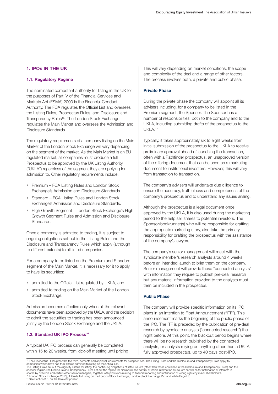#### **1. IPOs IN THE UK**

#### **1.1. Regulatory Regime**

The nominated competent authority for listing in the UK for the purposes of Part IV of the Financial Services and Markets Act (FSMA) 2000 is the Financial Conduct Authority. The FCA regulates the Official List and oversees the Listing Rules, Prospectus Rules, and Disclosure and Transparency Rules<sup>15</sup>. The London Stock Exchange regulates the Main Market and oversees the Admission and Disclosure Standards.

The regulatory requirements of a company listing on the Main Market of the London Stock Exchange will vary depending on the segment of the market. As the Main Market is an EU regulated market, all companies must produce a full Prospectus to be approved by the UK Listing Authority ("UKLA") regardless of the segment they are applying for admission to. Other regulatory requirements include:

- Premium FCA Listing Rules and London Stock Exchange's Admission and Disclosure Standards.
- Standard FCA Listing Rules and London Stock Exchange's Admission and Disclosure Standards.
- High Growth Segment London Stock Exchange's High Growth Segment Rules and Admission and Disclosure Standards.

Once a company is admitted to trading, it is subject to ongoing obligations set out in the Listing Rules and the Disclosure and Transparency Rules which apply (although to different extents) to all listed companies.

For a company to be listed on the Premium and Standard segment of the Main Market, it is necessary for it to apply to have its securities:

- admitted to the Official List regulated by UKLA, and
- admitted to trading on the Main Market of the London Stock Exchange.

Admission becomes effective only when all the relevant documents have been approved by the UKLA, and the decision to admit the securities to trading has been announced jointly by the London Stock Exchange and the UKLA.

#### **1.2. Standard UK IPO Process<sup>16</sup>**

A typical UK IPO process can generally be completed within 15 to 20 weeks, from kick-off meeting until pricing. This will vary depending on market conditions, the scope and complexity of the deal and a range of other factors. The process involves both, a private and public phase.

#### **Private Phase**

During the private phase the company will appoint all its advisers including, for a company to be listed in the Premium segment, the Sponsor. The Sponsor has a number of responsibilities, both to the company and to the UKLA, including submitting drafts of the prospectus to the UKLA $17$ 

Typically, it takes approximately six to eight weeks from initial submission of the prospectus to the UKLA to receive preliminary approval ahead of launching the transaction, often with a Pathfinder prospectus, an unapproved version of the offering document that can be used as a marketing document to institutional investors. However, this will vary from transaction to transaction.

The company's advisers will undertake due diligence to ensure the accuracy, truthfulness and completeness of the company's prospectus and to understand any issues arising.

Although the prospectus is a legal document once approved by the UKLA, it is also used during the marketing period to the help sell shares to potential investors. The Sponsor/bookrunner(s) who will be responsible for crafting the appropriate marketing story, also take the primary responsibility for drafting the prospectus with the assistance of the company's lawyers.

The company's senior management will meet with the syndicate member's research analysts around 4 weeks before an intended launch to brief them on the company. Senior management will provide these "connected analysts" with information they require to publish pre-deal research but any material information provided to the analysts must then be included in the prospectus.

#### **Public Phase**

The company will provide specific information on its IPO plans in an Intention to Float Announcement ("ITF"). This announcement marks the beginning of the public phase of the IPO. The ITF is preceded by the publication of pre-deal research by syndicate analysts ("connected research") the night before. At this point, the blackout period begins where there will be no research published by the connected analysts, or analysts relying on anything other than a UKLA fully approved prospectus, up to 40 days post-IPO.

<sup>&</sup>lt;sup>15</sup> The Prospectus Rules prescribe the form, contents and approval requirements for prospectuses. The Listing Rules and the Disclosure and Transparency Rules apply to<br>companies which have had their shares admitted to list The Listing Rules set out the eligibility criteria for listing, the continuing obligations of listed issuers (other than those contained in the Disclosure and Transparency Rules) and the<br>sponsor regime.The Disclosure and T

<sup>&</sup>lt;sup>6</sup> London Stock Exchange (2010), A Guide to Listing on the London Stock Exchange, London Stock Exchange Plc. and White Page Ltd. 17 See Section 3.6. on the Role of Sponsor.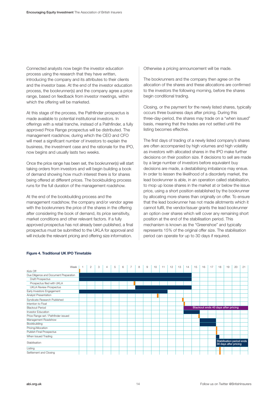Connected analysts now begin the investor education process using the research that they have written, introducing the company and its attributes to their clients and the investor base. At the end of the investor education process, the bookrunner(s) and the company agree a price range, based on feedback from investor meetings, within which the offering will be marketed.

At this stage of the process, the Pathfinder prospectus is made available to potential institutional investors. In offerings with a retail tranche, instead of a Pathfinder, a fully approved Price Range prospectus will be distributed. The management roadshow, during which the CEO and CFO will meet a significant number of investors to explain the business, the investment case and the rationale for the IPO, now begins and usually lasts two weeks.

Once the price range has been set, the bookrunner(s) will start taking orders from investors and will begin building a book of demand showing how much interest there is for shares being offered at different prices. The bookbuilding process runs for the full duration of the management roadshow.

At the end of the bookbuilding process and the management roadshow, the company and/or vendor agree with the bookrunners the price of the shares in the offering after considering the book of demand, its price sensitivity, market conditions and other relevant factors. If a fully approved prospectus has not already been published, a final prospectus must be submitted to the UKLA for approval and will include the relevant pricing and offering size information.

Otherwise a pricing announcement will be made.

The bookrunners and the company then agree on the allocation of the shares and these allocations are confirmed to the investors the following morning, before the shares begin conditional trading.

Closing, or the payment for the newly listed shares, typically occurs three business days after pricing. During this three-day-period, the shares may trade on a "when issued" basis, meaning that the trades are not settled until the listing becomes effective.

The first days of trading of a newly listed company's shares are often accompanied by high volumes and high volatility as investors with allocated shares in the IPO make further decisions on their position size. If decisions to sell are made by a large number of investors before equivalent buy decisions are made, a destabilising imbalance may ensue. In order to lessen the likelihood of a disorderly market, the lead bookrunner is able, in an operation called stabilisation, to mop up loose shares in the market at or below the issue price, using a short position established by the bookrunner by allocating more shares than originally on offer. To ensure that the lead bookrunner has not made allotments which it cannot fulfil, the vendor/issuer grants the lead bookrunner an option over shares which will cover any remaining short position at the end of the stabilisation period. This mechanism is known as the "Greenshoe" and typically represents 15% of the original offer size. The stabilisation period can operate for up to 30 days if required.



#### **Figure 4. Traditional UK IPO Timetable**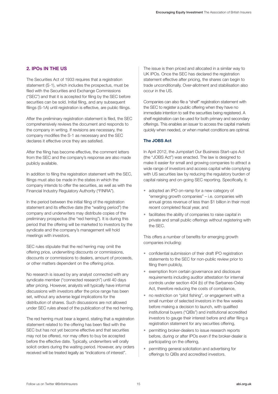#### **2. IPOs IN THE US**

The Securities Act of 1933 requires that a registration statement (S-1), which includes the prospectus, must be filed with the Securities and Exchange Commissions ("SEC") and that it is accepted for filing by the SEC before securities can be sold. Initial filing, and any subsequent filings (S-1A) until registration is effective, are public filings.

After the preliminary registration statement is filed, the SEC comprehensively reviews the document and responds to the company in writing. If revisions are necessary, the company modifies the S-1 as necessary and the SEC declares it effective once they are satisfied.

After the filing has become effective, the comment letters from the SEC and the company's response are also made publicly available.

In addition to filing the registration statement with the SEC, filings must also be made in the states in which the company intends to offer the securities, as well as with the Financial Industry Regulatory Authority ("FINRA").

In the period between the initial filing of the registration statement and its effective date (the "waiting period") the company and underwriters may distribute copies of the preliminary prospectus (the "red herring"). It is during this period that the offering will be marketed to investors by the syndicate and the company's management will hold meetings with investors.

SEC rules stipulate that the red herring may omit the offering price, underwriting discounts or commissions, discounts or commissions to dealers, amount of proceeds, or other matters dependent on the offering price.

No research is issued by any analyst connected with any syndicate member ("connected research") until 40 days after pricing. However, analysts will typically have informal discussions with investors after the price range has been set, without any adverse legal implications for the distribution of shares. Such discussions are not allowed under SEC rules ahead of the publication of the red herring.

The red herring must bear a legend, stating that a registration statement related to the offering has been filed with the SEC but has not yet become effective and that securities may not be offered, nor may offers to buy be accepted before the effective date. Typically, underwriters will orally solicit orders during the waiting period. However, any orders received will be treated legally as "indications of interest".

The issue is then priced and allocated in a similar way to UK IPOs. Once the SEC has declared the registration statement effective after pricing, the shares can begin to trade unconditionally. Over-allotment and stabilisation also occur in the US.

Companies can also file a "shelf" registration statement with the SEC to register a public offering when they have no immediate intention to sell the securities being registered. A shelf registration can be used for both primary and secondary offerings. This enables an issuer to access the capital markets quickly when needed, or when market conditions are optimal.

#### **The JOBS Act**

In April 2012, the Jumpstart Our Business Start-ups Act (the "JOBS Act") was enacted. The law is designed to make it easier for small and growing companies to attract a wide range of investors and access capital while complying with US securities law by reducing the regulatory burden of capital raising and on-going SEC reporting. Specifically, it:

- adopted an IPO on-ramp for a new category of "emerging growth companies" – i.e. companies with annual gross revenue of less than \$1 billion in their most recent completed fiscal year, and
- facilitates the ability of companies to raise capital in private and small public offerings without registering with the SEC.

This offers a number of benefits for emerging growth companies including:

- confidential submission of their draft IPO registration statements to the SEC for non-public review prior to filing them publicly,
- exemption from certain governance and disclosure requirements including auditor attestation for internal controls under section 404 (b) of the Sarbanes-Oxley Act, therefore reducing the costs of compliance,
- no restriction on "pilot fishing", or engagement with a small number of selected investors in the few weeks before making a decision to launch, with qualified institutional buyers ("QIBs") and institutional accredited investors to gauge their interest before and after filing a registration statement for any securities offering,
- permitting broker-dealers to issue research reports before, during or after IPOs even if the broker-dealer is participating on the offering,
- permitting general solicitation and advertising for offerings to QIBs and accredited investors.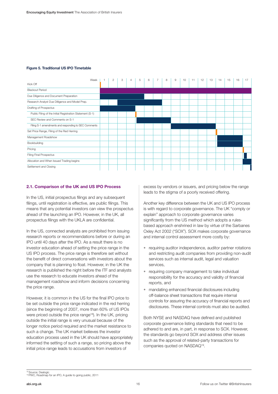#### **Figure 5. Traditional US IPO Timetable**



#### **2.1. Comparison of the UK and US IPO Process**

In the US, initial prospectus filings and any subsequent filings, until registration is effective, are public filings. This means that any potential investors can view the prospectus ahead of the launching an IPO. However, in the UK, all prospectus filings with the UKLA are confidential.

In the US, connected analysts are prohibited from issuing research reports or recommendations before or during an IPO until 40 days after the IPO. As a result there is no investor education ahead of setting the price range in the US IPO process. The price range is therefore set without the benefit of direct conversations with investors about the company that is planning to float. However, in the UK the research is published the night before the ITF and analysts use the research to educate investors ahead of the management roadshow and inform decisions concerning the price range.

However, it is common in the US for the final IPO price to be set outside the price range indicated in the red herring (since the beginning of 2007, more than 60% of US IPOs were priced outside the price range<sup>18</sup>). In the UK, pricing outside the initial range is very unusual because of the longer notice period required and the market resistance to such a change. The UK market believes the investor education process used in the UK should have appropriately informed the setting of such a range, so pricing above the initial price range leads to accusations from investors of

excess by vendors or issuers, and pricing below the range leads to the stigma of a poorly received offering.

Another key difference between the UK and US IPO process is with regard to corporate governance. The UK "comply or explain" approach to corporate governance varies significantly from the US method which adopts a rulesbased approach enshrined in law by virtue of the Sarbanes Oxley Act 2002 ("SOX"). SOX makes corporate governance and internal control assessment more costly by:

- requiring auditor independence, auditor partner rotations and restricting audit companies from providing non-audit services such as internal audit, legal and valuation services,
- requiring company management to take individual responsibility for the accuracy and validity of financial reports, and
- mandating enhanced financial disclosures including off-balance sheet transactions that require internal controls for assuring the accuracy of financial reports and disclosures. These internal controls must also be audited.

Both NYSE and NASDAQ have defined and published corporate governance listing standards that need to be adhered to and are, in part, in response to SOX. However, the standards go beyond SOX and address other issues such as the approval of related-party transactions for companies quoted on NASDAQ19.

<sup>&</sup>lt;sup>18</sup> Source: Dealogic<br><sup>19</sup> PWC, Roadmap for an IPO, A guide to going public, 2011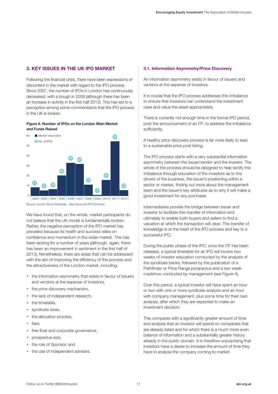#### **3. KEY ISSUES IN THE UK IPO MARKET**

Following the financial crisis, there have been expressions of discontent in the market with regard to the IPO process. Since 2007, the number of IPOs in London has continuously decreased, with a trough in 2009 (although there has been an increase in activity in the first half 2013). This has led to a perception among some commentators that the IPO process in the UK is broken.

#### **Figure 6. Number of IPOs on the London Main Market and Funds Raised**



Source: London Stock Exchange – New Issue and IPO Summary

We have found that, on the whole, market participants do not believe that the UK model is fundamentally broken. Rather, the negative perception of the IPO market has prevailed because its health and success relies on confidence and momentum in the wider market. This has been lacking for a number of years (although, again, there has been an improvement in sentiment in the first half of 2013). Nonetheless, there are areas that can be addressed with the aim of improving the efficiency of the process and the attractiveness of the London market, including:

- the information asymmetry that exists in favour of issuers and vendors at the expense of investors,
- the price discovery mechanism,
- the lack of independent research,
- the timetable.
- syndicate sizes,
- the allocation process,
- fees,
- free float and corporate governance,
- prospectus size,
- the role of Sponsor, and
- the use of independent advisers.

#### **3.1. Information Asymmetry/Price Discovery**

An information asymmetry exists in favour of issuers and vendors at the expense of investors.

It is crucial that the IPO process addresses this imbalance to ensure that investors can understand the investment case and value the asset appropriately.

There is currently not enough time in the formal IPO period, post the announcement of an ITF, to address the imbalance sufficiently.

A healthy price discovery process is far more likely to lead to a sustainable price post listing.

The IPO process starts with a very substantial information asymmetry between the issuer/vendor and the investor. The whole of the process should be designed to help rectify this imbalance through education of the investors as to the drivers of the business, the issuer's positioning within a sector or market, finding out more about the management team and the issuer's key attributes as to why it will make a good investment for any purchaser.

Intermediaries provide the bridge between issuer and investor to facilitate this transfer of information and ultimately to enable both buyers and sellers to find a valuation at which the transaction will clear. This transfer of knowledge is at the heart of the IPO process and key to a successful IPO.

During the public phase of the IPO, once the ITF has been released, a typical timetable for an IPO will involve two weeks of investor education conducted by the analysts of the syndicate banks, followed by the publication of a Pathfinder or Price Range prospectus and a two week roadshow conducted by management (see Figure 4).

Over this period, a typical investor will have spent an hour or two with one or more syndicate analysts and an hour with company management, plus some time for their own analysis, after which they are expected to make an investment decision.

This compares with a significantly greater amount of time and analysis that an investor will spend on companies that are already listed and for which there is a much more even balance of information and a substantially greater history already in the public domain. It is therefore unsurprising that investors have a desire to increase the amount of time they have to analyse the company coming to market.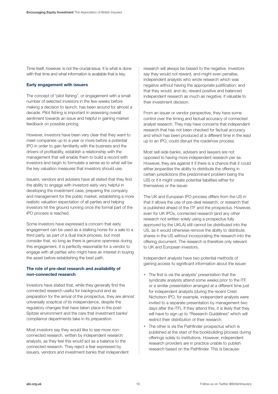Time itself, however, is not the crucial issue. It is what is done with that time and what information is available that is key.

#### **Early engagement with issuers**

The concept of "pilot fishing", or engagement with a small number of selected investors in the few weeks before making a decision to launch, has been around for almost a decade. Pilot fishing is important in assessing overall sentiment towards an issue and helpful in gaining market feedback on possible pricing.

However, investors have been very clear that they want to meet companies up to a year or more before a potential IPO in order to gain familiarity with the business and the drivers of profitability, establish a relationship with the management that will enable them to build a record with investors and begin to formulate a sense as to what will be the key valuation measures that investors should use.

Issuers, vendors and advisers have all stated that they find the ability to engage with investors early very helpful in developing the investment case, preparing the company and management for the public market, establishing a more realistic valuation expectation of all parties and helping investors hit the ground running once the formal part of the IPO process is reached.

Some investors have expressed a concern that early engagement can be used as a stalking horse for a sale to a third party, as part of a dual track process, but most consider that, so long as there is genuine openness during this engagement, it is perfectly reasonable for a vendor to engage with all parties who might have an interest in buying the asset before establishing the best path.

#### **The role of pre-deal research and availability of non-connected research**

Investors have stated that, while they generally find the connected research useful for background and as preparation for the arrival of the prospectus, they are almost universally sceptical of its independence, despite the regulatory changes that have taken place in the post-Spitzer environment and the care that investment banks' compliance departments take in its preparation.

Most investors say they would like to see more nonconnected research, written by independent research analysts, as they feel this would act as a balance to the connected research. They reject a fear expressed by issuers, vendors and investment banks that independent

research will always be biased to the negative. Investors say they would not reward, and might even penalise, independent analysts who wrote research which was negative without having the appropriate justification, and that they would, and do, reward positive and balanced independent research as much as negative, if valuable to their investment decision.

From an issuer or vendor perspective, they have some control over the timing and factual accuracy of connected analyst research. They may have concerns that independent research that has not been checked for factual accuracy and which has been produced at a different time in the lead up to an IPO, could disrupt the roadshow process.

Most sell-side banks, advisers and lawyers are not opposed to having more independent research per se. However, they are against it if there is a chance that it could either jeopardise the ability to distribute the offering in certain jurisdictions (the predominant problem being the US) or if it might create potential liabilities either for themselves or the issuer.

The UK and European IPO process differs from the US in that it allows the use of pre-deal research, or research that is published ahead of the ITF and the prospectus. However, even for UK IPOs, connected research (and any other research not written solely using a prospectus fully approved by the UKLA) still cannot be distributed into the US, as it would otherwise remove the ability to distribute shares in the US without incorporating the research into the offering document. The research is therefore only relevant to UK and European investors.

Independent analysts have two potential methods of gaining access to significant information about the issuer:

- The first is via the analysts' presentation that the syndicate analysts attend some weeks prior to the ITF, or a similar presentation arranged at a different time just for independent analysts (during the recent Crest Nicholson IPO, for example, independent analysts were invited to a separate presentation by management two days after the ITF). If they attend this, it is likely that they will have to sign up to "Research Guidelines" which will restrict their distribution of their research.
- The other is via the Pathfinder prospectus which is published at the start of the bookbuilding process during offerings solely to institutions. However, independent research providers are in practice unable to publish research based on the Pathfinder. This is because: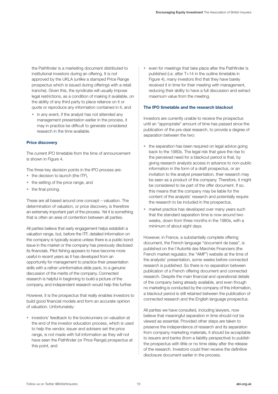the Pathfinder is a marketing document distributed to institutional investors during an offering. It is not approved by the UKLA (unlike a stamped Price Range prospectus which is issued during offerings with a retail tranche). Given this, the syndicate will usually impose legal restrictions, as a condition of making it available, on the ability of any third party to place reliance on it or quote or reproduce any information contained in it, and

• in any event, if the analyst has not attended any management presentation earlier in the process, it may in practice be difficult to generate considered research in the time available.

#### **Price discovery**

The current IPO timetable from the time of announcement is shown in Figure 4.

The three key decision points in the IPO process are:

- the decision to launch (the ITF),
- the setting of the price range, and
- the final pricing.

These are all based around one concept – valuation. The determination of valuation, or price discovery, is therefore an extremely important part of the process. Yet it is something that is often an area of contention between all parties.

All parties believe that early engagement helps establish a valuation range, but, before the ITF, detailed information on the company is typically scarce unless there is a public bond issue in the market or the company has previously disclosed its financials. Pilot fishing appears to have become more useful in recent years as it has developed from an opportunity for management to practice their presentation skills with a rather uninformative slide pack, to a genuine discussion of the merits of the company. Connected research is helpful in beginning to build a picture of the company, and independent research would help this further.

However, it is the prospectus that really enables investors to build good financial models and form an accurate opinion of valuation. Unfortunately:

• investors' feedback to the bookrunners on valuation at the end of the investor education process, which is used to help the vendor, issuer and advisers set the price range, is not made with full information as they will not have seen the Pathfinder (or Price Range) prospectus at this point, and

• even for meetings that take place after the Pathfinder is published (i.e. after T+14 in the outline timetable in Figure 4), many investors find that they have barely received it in time for their meeting with management, reducing their ability to have a full discussion and extract maximum value from the meeting.

#### **The IPO timetable and the research blackout**

Investors are currently unable to receive the prospectus until an "appropriate" amount of time has passed since the publication of the pre-deal research, to provide a degree of separation between the two:

- the separation has been required on legal advice going back to the 1980s. The legal risk that gave the rise to the perceived need for a blackout period is that, by giving research analysts access in advance to non-public information in the form of a draft prospectus, or an invitation to the analyst presentation, their research may be seen as a product of the company. Therefore, it might be considered to be part of the offer document. If so, this means that the company may be liable for the content of the analysts' research and potentially require the research to be included in the prospectus,
- market practice has developed over many years such that the standard separation time is now around two weeks, down from three months in the 1980s, with a minimum of about eight days.

However, in France, a substantially complete offering document, the French language "document de base", is published on the l'Autorité des Marchés Financiers (the French market regulator, the "AMF") website at the time of the analysts' presentation, some weeks before connected research is published. So there is no separation between publication of a French offering document and connected research. Despite the main financial and operational details of the company being already available, and even though no marketing is conducted by the company of this information, a blackout period is still retained between the publication of connected research and the English language prospectus.

All parties we have consulted, including lawyers, now believe that meaningful separation in time should not be viewed as essential. Provided other steps are taken to preserve the independence of research and its separation from company marketing materials, it should be acceptable to issuers and banks (from a liability perspective) to publish the prospectus with little or no time delay after the release of the research. Investors could then receive the definitive disclosure document earlier in the process.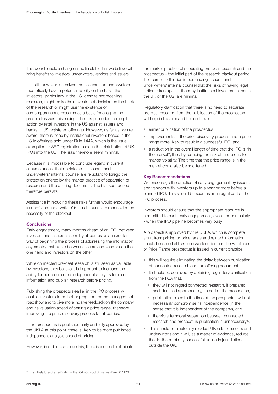This would enable a change in the timetable that we believe will bring benefits to investors, underwriters, vendors and issuers.

It is still, however, perceived that issuers and underwriters theoretically have a potential liability on the basis that investors, particularly in the US, despite not receiving research, might make their investment decision on the back of the research or might use the existence of contemporaneous research as a basis for alleging the prospectus was misleading. There is precedent for legal action by retail investors in the US against issuers and banks in US registered offerings. However, as far as we are aware, there is none by institutional investors based in the US in offerings sold under Rule 144A, which is the usual exemption to SEC registration used in the distribution of UK IPOs into the US. The risks therefore seem minimal.

Because it is impossible to conclude legally, in current circumstances, that no risk exists, issuers' and underwriters' internal counsel are reluctant to forego the protection offered by the market practice of separation of research and the offering document. The blackout period therefore persists.

Assistance in reducing these risks further would encourage issuers' and underwriters' internal counsel to reconsider the necessity of the blackout.

#### **Conclusions**

Early engagement, many months ahead of an IPO, between investors and issuers is seen by all parties as an excellent way of beginning the process of addressing the information asymmetry that exists between issuers and vendors on the one hand and investors on the other.

While connected pre-deal research is still seen as valuable by investors, they believe it is important to increase the ability for non-connected independent analysts to access information and publish research before pricing.

Publishing the prospectus earlier in the IPO process will enable investors to be better prepared for the management roadshow and to give more incisive feedback on the company and its valuation ahead of setting a price range, therefore improving the price discovery process for all parties.

If the prospectus is published early and fully approved by the UKLA at this point, there is likely to be more published independent analysis ahead of pricing.

However, in order to achieve this, there is a need to eliminate

the market practice of separating pre-deal research and the prospectus – the initial part of the research blackout period. The barrier to this lies in persuading issuers' and underwriters' internal counsel that the risks of having legal action taken against them by institutional investors, either in the UK or the US, are minimal.

Regulatory clarification that there is no need to separate pre-deal research from the publication of the prospectus will help in this aim and help achieve:

- earlier publication of the prospectus,
- improvements in the price discovery process and a price range more likely to result in a successful IPO, and
- a reduction in the overall length of time that the IPO is "in the market", thereby reducing the risk of failure due to market volatility. The time that the price range is in the market could also be shortened.

#### **Key Recommendations**

We encourage the practice of early engagement by issuers and vendors with investors up to a year or more before a planned IPO. This should be seen as an integral part of the IPO process.

Investors should ensure that the appropriate resource is committed to such early engagement, even - or particularly - when the IPO pipeline becomes very busy.

A prospectus approved by the UKLA, which is complete apart from pricing or price range and related information, should be issued at least one week earlier than the Pathfinder or Price Range prospectus is issued in current practice:

- this will require eliminating the delay between publication of connected research and the offering document.
- It should be achieved by obtaining regulatory clarification from the FCA that:
	- they will not regard connected research, if prepared and identified appropriately, as part of the prospectus,
	- publication close to the time of the prospectus will not necessarily compromise its independence (in the sense that it is independent of the company), and
	- therefore temporal separation between connected research and prospectus publication is unnecessary<sup>20</sup>.
- This should eliminate any residual UK risk for issuers and underwriters and it will, as a matter of evidence, reduce the likelihood of any successful action in jurisdictions outside the UK.

 $\frac{20}{20}$  This is likely to require clarification of the FCA's Conduct of Business Rule 12.2.12G.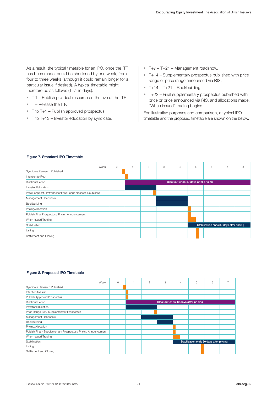As a result, the typical timetable for an IPO, once the ITF has been made, could be shortened by one week, from four to three weeks (although it could remain longer for a particular issue if desired). A typical timetable might therefore be as follows (T+/- in days):

- T-1 Publish pre-deal research on the eve of the ITF,
- T Release the ITF,
- $\bullet$  T to T+1 Publish approved prospectus,
- T to T+13 Investor education by syndicate,
- T+7 T+21 Management roadshow,
- T+14 Supplementary prospectus published with price range or price range announced via RIS,
- $\bullet$  T+14 T+21 Bookbuilding,
- T+22 Final supplementary prospectus published with price or price announced via RIS, and allocations made. "When issued" trading begins.

For illustrative purposes and comparison, a typical IPO timetable and the proposed timetable are shown on the below.

| Week                                                             | $\circ$ | $\mathbf{1}$                             | $\overline{2}$                      | 3 | $\overline{4}$ | 5 | 6 | $\overline{7}$ | 8 |  |  |
|------------------------------------------------------------------|---------|------------------------------------------|-------------------------------------|---|----------------|---|---|----------------|---|--|--|
| Syndicate Research Published                                     |         |                                          |                                     |   |                |   |   |                |   |  |  |
| Intention to Float                                               |         |                                          |                                     |   |                |   |   |                |   |  |  |
| <b>Blackout Period</b>                                           |         |                                          | Blackout ends 40 days after pricing |   |                |   |   |                |   |  |  |
| <b>Investor Education</b>                                        |         |                                          |                                     |   |                |   |   |                |   |  |  |
| Price Range set / Pathfinder or Price Range prospectus published |         |                                          |                                     |   |                |   |   |                |   |  |  |
| Management Roadshow                                              |         |                                          |                                     |   |                |   |   |                |   |  |  |
| Bookbuilding                                                     |         |                                          |                                     |   |                |   |   |                |   |  |  |
| Pricing/Allocation                                               |         |                                          |                                     |   |                |   |   |                |   |  |  |
| Publish Final Prospectus / Pricing Announcement                  |         |                                          |                                     |   |                |   |   |                |   |  |  |
| When Issued Trading                                              |         |                                          |                                     |   |                |   |   |                |   |  |  |
| Stabilisation                                                    |         | Stabilisation ends 30 days after pricing |                                     |   |                |   |   |                |   |  |  |
| Listing                                                          |         |                                          |                                     |   |                |   |   |                |   |  |  |
| Settlement and Closing                                           |         |                                          |                                     |   |                |   |   |                |   |  |  |

#### **Figure 7. Standard IPO Timetable**

#### **Figure 8. Proposed IPO Timetable**

| Week                                                            | $\circ$ | $\overline{c}$ | 3 | $\overline{4}$                      | 5                                        | 6 |  |  |  |  |
|-----------------------------------------------------------------|---------|----------------|---|-------------------------------------|------------------------------------------|---|--|--|--|--|
| Syndicate Research Published                                    |         |                |   |                                     |                                          |   |  |  |  |  |
| Intention to Float                                              |         |                |   |                                     |                                          |   |  |  |  |  |
| Publish Approved Prospectus                                     |         |                |   |                                     |                                          |   |  |  |  |  |
| <b>Blackout Period</b>                                          |         |                |   | Blackout ends 40 days after pricing |                                          |   |  |  |  |  |
| <b>Investor Education</b>                                       |         |                |   |                                     |                                          |   |  |  |  |  |
| Price Range Set / Supplementary Prospectus                      |         |                |   |                                     |                                          |   |  |  |  |  |
| Management Roadshow                                             |         |                |   |                                     |                                          |   |  |  |  |  |
| Bookbuilding                                                    |         |                |   |                                     |                                          |   |  |  |  |  |
| Pricing/Allocation                                              |         |                |   |                                     |                                          |   |  |  |  |  |
| Publish Final / Supplementary Prospectus / Pricing Announcement |         |                |   |                                     |                                          |   |  |  |  |  |
| When Issued Trading                                             |         |                |   |                                     |                                          |   |  |  |  |  |
| Stabilisation                                                   |         |                |   |                                     | Stabilisation ends 30 days after pricing |   |  |  |  |  |
| Listing                                                         |         |                |   |                                     |                                          |   |  |  |  |  |
| Settlement and Closing                                          |         |                |   |                                     |                                          |   |  |  |  |  |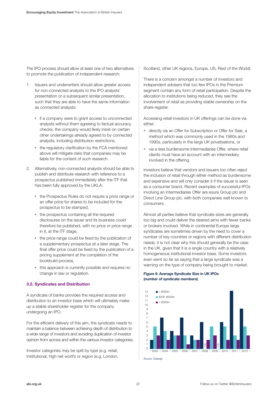The IPO process should allow at least one of two alternatives to promote the publication of independent research:

- 1. Issuers and underwriters should allow greater access for non-connected analysts to the IPO analysts' presentation or a subsequent similar presentation, such that they are able to have the same information as connected analysts:
	- if a company were to grant access to unconnected analysts without them agreeing to factual accuracy checks, the company would likely insist on certain other undertakings already agreed to by connected analysts, including distribution restrictions,
	- the regulatory clarification by the FCA mentioned above will mitigate risks that companies may be liable for the content of such research.
- 2. Alternatively, non-connected analysts should be able to publish and distribute research with reference to a prospectus published immediately after the ITF that has been fully approved by the UKLA:
	- the Prospectus Rules do not require a price range or an offer price for shares to be included for the prospectus to be stamped,
	- the prospectus containing all the required disclosures on the issuer and its business could therefore be published, with no price or price range in it, at the ITF stage,
	- the price range could be fixed by the publication of a supplementary prospectus at a later stage. The final offer price could be fixed by the publication of a pricing supplement at the completion of the bookbuild process,
	- this approach is currently possible and requires no change in law or regulation.

#### **3.2. Syndicates and Distribution**

A syndicate of banks provides the required access and distribution to an investor base which will ultimately make up a stable shareholder register for the company undergoing an IPO.

For the efficient delivery of this aim, the syndicate needs to maintain a balance between achieving depth of distribution to a wide range of investors and avoiding duplication of investor opinion from across and within the various investor categories.

Investor categories may be split by type (e.g. retail, institutional, high net worth) or region (e.g. London, Scotland, other UK regions, Europe, US, Rest of the World).

There is a concern amongst a number of investors and independent advisers that too few IPOs in the Premium segment contain any form of retail participation. Despite the allocation to institutions being reduced, they see the involvement of retail as providing stable ownership on the share register.

Accessing retail investors in UK offerings can be done via either:

- directly via an Offer for Subscription or Offer for Sale, a method which was commonly used in the 1980s and 1990s, particularly in the large UK privatisations, or
- via a less burdensome Intermediaries Offer, where retail clients must have an account with an intermediary involved in the offering.

Investors believe that vendors and issuers too often reject the inclusion of retail through either method as burdensome and expensive and will only consider it if the issuer is seen as a consumer brand. Recent examples of successful IPOs involving an Intermediaries Offer are esure Group plc and Direct Line Group plc, with both companies well known to consumers.

Almost all parties believe that syndicate sizes are generally too big and could deliver the desired aims with fewer banks or brokers involved. While in continental Europe large syndicates are sometimes driven by the need to cover a number of key countries or regions with different distribution needs, it is not clear why this should generally be the case in the UK, given that it is a single country with a relatively homogeneous institutional investor base. Some investors even went so far as saying that a large syndicate was a warning on the type of company being brought to market.

#### **Figure 9. Average Syndicate Size in UK IPOs (number of syndicate members)**



Source: Dealogic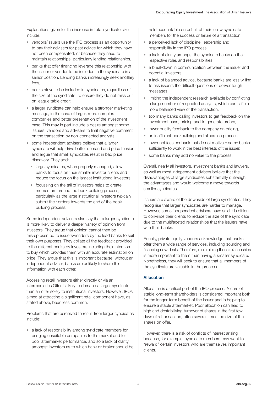Explanations given for the increase in total syndicate size include:

- vendors/issuers use the IPO process as an opportunity to pay their advisers for past advice for which they have not been compensated, or because they need to maintain relationships, particularly lending relationships,
- banks that offer financing leverage this relationship with the issuer or vendor to be included in the syndicate in a senior position. Lending banks increasingly seek ancillary fees,
- banks strive to be included in syndicates, regardless of the size of the syndicate, to ensure they do not miss out on league table credit,
- a larger syndicate can help ensure a stronger marketing message, in the case of larger, more complex companies and better presentation of the investment case. This may in part include a desire amongst some issuers, vendors and advisers to limit negative comment on the transaction by non-connected analysts,
- some independent advisers believe that a larger syndicate will help drive better demand and price tension and argue that small syndicates result in bad price discovery. They add:
	- large syndicates, when properly managed, allow banks to focus on their smaller investor clients and reduce the focus on the largest institutional investors,
	- focussing on the tail of investors helps to create momentum around the book building process, particularly as the large institutional investors typically submit their orders towards the end of the book building process.

Some independent advisers also say that a larger syndicate is more likely to deliver a deeper variety of opinion from investors. They argue that opinion cannot then be misrepresented to issuers/vendors by the lead banks to suit their own purposes. They collate all the feedback provided to the different banks by investors including their intention to buy which provides them with an accurate estimation on price. They argue that this is important because, without an independent adviser, banks are unlikely to share this information with each other.

Accessing retail investors either directly or via an Intermediaries Offer is likely to demand a larger syndicate than an offer solely to institutional investors. However, IPOs aimed at attracting a significant retail component have, as stated above, been less common.

Problems that are perceived to result from larger syndicates include:

• a lack of responsibility among syndicate members for bringing unsuitable companies to the market and for poor aftermarket performance, and so a lack of clarity amongst investors as to which bank or broker should be

held accountable on behalf of their fellow syndicate members for the success or failure of a transaction,

- a perceived lack of discipline, leadership and responsibility in the IPO process,
- a lack of clarity amongst the syndicate banks on their respective roles and responsibilities,
- a breakdown in communication between the issuer and potential investors,
- a lack of balanced advice, because banks are less willing to ask issuers the difficult questions or deliver tough messages,
- limiting the independent research available by conflicting a large number of respected analysts, which can stifle a more balanced view of the transaction,
- too many banks calling investors to get feedback on the investment case, pricing and to generate orders,
- lower quality feedback to the company on pricing,
- an inefficient bookbuilding and allocation process,
- lower net fees per bank that do not motivate some banks sufficiently to work in the best interests of the issuer,
- some banks may add no value to the process.

Overall, nearly all investors, investment banks and lawyers, as well as most independent advisers believe that the disadvantages of large syndicates substantially outweigh the advantages and would welcome a move towards smaller syndicates.

Issuers are aware of the downside of large syndicates. They recognise that larger syndicates are harder to manage. However, some independent advisers have said it is difficult to convince their clients to reduce the size of the syndicate due to the multifaceted relationships that the issuers have with their banks.

Equally, private equity vendors acknowledge that banks offer them a wide range of services, including sourcing and financing new deals. Therefore, maintaining these relationships is more important to them than having a smaller syndicate. Nonetheless, they will seek to ensure that all members of the syndicate are valuable in the process.

#### **Allocation**

Allocation is a critical part of the IPO process. A core of stable long-term shareholders is considered important both for the longer-term benefit of the issuer and in helping to ensure a stable aftermarket. Poor allocation can lead to high and destabilising turnover of shares in the first few days of a transaction, often several times the size of the shares on offer.

However, there is a risk of conflicts of interest arising because, for example, syndicate members may want to "reward" certain investors who are themselves important clients.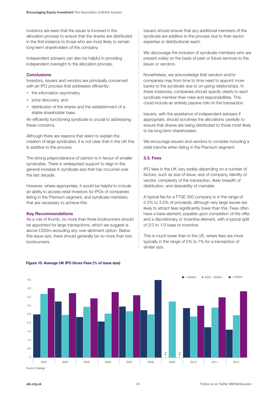Investors are keen that the issuer is involved in the allocation process to ensure that the shares are distributed in the first instance to those who are most likely to remain long-term shareholders of the company.

Independent advisers can also be helpful in providing independent oversight to the allocation process.

#### **Conclusions**

Investors, issuers and vendors are principally concerned with an IPO process that addresses efficiently:

- the information asymmetry,
- price discovery, and
- distribution of the shares and the establishment of a stable shareholder base.

An efficiently functioning syndicate is crucial to addressing these concerns.

Although there are reasons that seem to explain the creation of large syndicates, it is not clear that in the UK this is additive to the process.

The strong preponderance of opinion is in favour of smaller syndicates. There is widespread support to reign in the general increase in syndicate size that has occurred over the last decade.

However, where appropriate, it would be helpful to include an ability to access retail investors for IPOs of companies listing in the Premium segment, and syndicate members that are necessary to achieve this.

#### **Key Recommendations**

As a rule of thumb, no more than three bookrunners should be appointed for large transactions, which we suggest is above £250m excluding any over-allotment option. Below this issue size, there should generally be no more than two bookrunners.

Issuers should ensure that any additional members of the syndicate are additive to the process due to their sector expertise or distributional reach.

We discourage the inclusion of syndicate members who are present solely on the basis of past or future services to the issuer or vendors.

Nonetheless, we acknowledge that vendors and/or companies may from time to time need to appoint more banks to the syndicate due to on-going relationships. In these instances, companies should specify clearly to each syndicate member their roles and responsibilities. This could include an entirely passive role on the transaction.

Issuers, with the assistance of independent advisers if appropriate, should scrutinise the allocations carefully to ensure that shares are being distributed to those most likely to be long-term shareholders.

We encourage issuers and vendors to consider including a retail tranche when listing in the Premium segment.

#### **3.3. Fees**

IPO fees in the UK vary widely depending on a number of factors, such as size of issue, size of company, identity of vendor, complexity of the transaction, likely breadth of distribution, and desirability of mandate.

A typical fee for a FTSE 350 company is in the range of 2.5% to 3.5% of proceeds, although very large issues are likely to attract fees significantly lower than this. Fees often have a base element, payable upon completion of the offer, and a discretionary or incentive element, with a typical split of 2/3 to 1/3 base to incentive.

This is much lower than in the US, where fees are more typically in the range of 5% to 7% for a transaction of similar size.



#### **Figure 10. Average UK IPO Gross Fees (% of issue size)**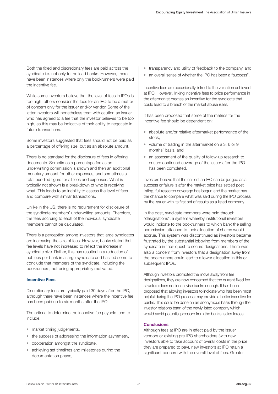Both the fixed and discretionary fees are paid across the syndicate i.e. not only to the lead banks. However, there have been instances where only the bookrunners were paid the incentive fee.

While some investors believe that the level of fees in IPOs is too high, others consider the fees for an IPO to be a matter of concern only for the issuer and/or vendor. Some of the latter investors will nonetheless treat with caution an issuer who has agreed to a fee that the investor believes to be too high, as this may be indicative of their ability to negotiate in future transactions.

Some investors suggested that fees should not be paid as a percentage of offering size, but as an absolute amount.

There is no standard for the disclosure of fees in offering documents. Sometimes a percentage fee as an underwriting commission is shown and then an additional monetary amount for other expenses, and sometimes a total bundled figure for all fees and expenses. What is typically not shown is a breakdown of who is receiving what. This leads to an inability to assess the level of fees and compare with similar transactions.

Unlike in the US, there is no requirement for disclosure of the syndicate members' underwriting amounts. Therefore, the fees accruing to each of the individual syndicate members cannot be calculated.

There is a perception among investors that large syndicates are increasing the size of fees. However, banks stated that fee levels have not increased to reflect the increase in syndicate size. Rather, this has resulted in a reduction of net fees per bank in a large syndicate and has led some to conclude that members of the syndicate, including the bookrunners, not being appropriately motivated.

#### **Incentive Fees**

Discretionary fees are typically paid 30 days after the IPO, although there have been instances where the incentive fee has been paid up to six months after the IPO.

The criteria to determine the incentive fee payable tend to include:

- market timing judgements,
- the success of addressing the information asymmetry,
- cooperation amongst the syndicate,
- achieving set timelines and milestones during the documentation phase,
- transparency and utility of feedback to the company, and
- an overall sense of whether the IPO has been a "success".

Incentive fees are occasionally linked to the valuation achieved at IPO. However, linking incentive fees to price performance in the aftermarket creates an incentive for the syndicate that could lead to a breach of the market abuse rules.

It has been proposed that some of the metrics for the incentive fee should be dependent on:

- absolute and/or relative aftermarket performance of the stock,
- volume of trading in the aftermarket on a 3, 6 or 9 months' basis, and
- an assessment of the quality of follow-up research to ensure continued coverage of the issuer after the IPO has been completed.

Investors believe that the earliest an IPO can be judged as a success or failure is after the market price has settled post listing, full research coverage has begun and the market has the chance to compare what was said during the IPO process by the issuer with its first set of results as a listed company.

In the past, syndicate members were paid through "designations", a system whereby institutional investors would indicate to the bookrunners to which bank the selling commission attached to their allocation of shares would accrue. This system was discontinued as investors became frustrated by the substantial lobbying from members of the syndicate in their quest to secure designations. There was also a concern from investors that a designation away from the bookrunners could lead to a lower allocation in this or subsequent IPOs.

Although investors promoted the move away from fee designations, they are now concerned that the current fixed fee structure does not incentivise banks enough. It has been proposed that allowing investors to indicate who has been most helpful during the IPO process may provide a better incentive for banks. This could be done on an anonymous basis through the investor relations team of the newly listed company which would avoid potential pressure from the banks' sales forces.

#### **Conclusions**

Although fees at IPO are in effect paid by the issuer, vendors or existing pre-IPO shareholders (with new investors able to take account of overall costs in the price they are prepared to pay), new investors at IPO retain a significant concern with the overall level of fees. Greater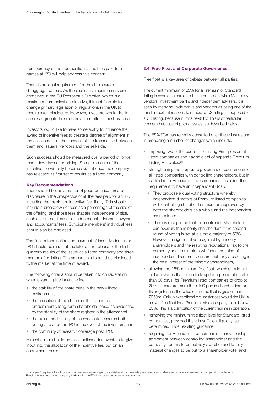transparency of the composition of the fees paid to all parties at IPO will help address this concern.

There is no legal requirement for the disclosure of disaggregated fees. As the disclosure requirements are contained in the EU Prospectus Directive, which is a maximum harmonisation directive, it is not feasible to change primary legislation or regulations in the UK to require such disclosure. However, investors would like to see disaggregated disclosure as a matter of best practice.

Investors would like to have some ability to influence the award of incentive fees to create a degree of alignment in the assessment of the success of the transaction between them and issuers, vendors and the sell-side.

Such success should be measured over a period of longer than a few days after pricing. Some elements of the incentive fee will only become evident once the company has released its first set of results as a listed company.

#### **Key Recommendations**

There should be, as a matter of good practice, greater disclosure in the prospectus of all the fees paid for an IPO, including the maximum incentive fee, if any. This should include a breakdown of fees as a percentage of the size of the offering, and those fees that are independent of size, such as, but not limited to, independent advisers', lawyers' and accountants' fees. Syndicate members' individual fees should also be disclosed.

The final determination and payment of incentive fees in an IPO should be made at the later of the release of the first quarterly results of the issuer as a listed company and three months after listing. The amount paid should be disclosed to the market at the time of award.

The following criteria should be taken into consideration when awarding the incentive fee:

- the stability of the share price in the newly listed environment,
- the allocation of the shares of the issuer to a predominantly long-term shareholder base, as evidenced by the stability of the share register in the aftermarket,
- the extent and quality of the syndicate research both, during and after the IPO in the eyes of the investors, and
- the continuity of research coverage post IPO.

A mechanism should be re-established for investors to give input into the allocation of the incentive fee, but on an anonymous basis.

#### **3.4. Free Float and Corporate Governance**

Free float is a key area of debate between all parties.

The current minimum of 25% for a Premium or Standard listing is seen as a barrier to listing on the UK Main Market by vendors, investment banks and independent advisers. It is seen by many sell-side banks and vendors as being one of the most important reasons to choose a US listing as opposed to a UK listing, because it limits flexibility. This is of particular concern because of pricing issues, as described below.

The FSA/FCA has recently consulted over these issues and is proposing a number of changes which include:

- imposing two of the current six Listing Principles on all listed companies and having a set of separate Premium Listing Principles, 21
- strengthening the corporate governance requirements of all listed companies with controlling shareholders, but in particular for Premium listed companies, including the requirement to have an independent Board.
	- They propose a dual voting structure whereby independent directors of Premium listed companies with controlling shareholders must be approved by both the shareholders as a whole and the independent shareholders.
	- There is recognition that the controlling shareholder can overrule the minority shareholders if the second round of voting is set at a simple majority of 50%. However, a significant vote against by minority shareholders and the resulting reputational risk to the company and its directors will focus the mind of independent directors to ensure that they are acting in the best interest of the minority shareholders,
- allowing the 25% minimum free float, which should not include shares that are in lock-up for a period of greater than 30 days, for Premium listed companies to drop to 20% if there are more than 100 public shareholders on the register and the value of the free float is greater than £250m. Only in exceptional circumstances would the UKLA allow a free float for a Premium listed company to be below 20%. This is a clarification of the current regime in operation,
- removing the minimum free float level for Standard listed companies, provided there is sufficient liquidity, as determined under existing guidance,
- requiring, for Premium listed companies, a relationship agreement between controlling shareholder and the company, for this to be publicly available and for any material changes to be put to a shareholder vote, and

<sup>&</sup>lt;sup>21</sup> Principle 2 requires a listed company to take reasonable steps to establish and maintain adequate resources, systems and controls to enable it to comply with its obligations.<br>Principle 6 requires a listed company to d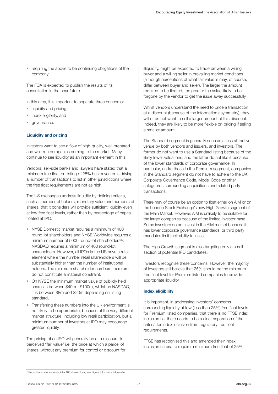• requiring the above to be continuing obligations of the company.

The FCA is expected to publish the results of its consultation in the near future.

In this area, it is important to separate three concerns:

- liquidity and pricing,
- index eligibility, and
- governance.

#### **Liquidity and pricing**

Investors want to see a flow of high-quality, well-prepared and well-run companies coming to the market. Many continue to see liquidity as an important element in this.

Vendors, sell-side banks and lawyers have stated that a minimum free float on listing of 25% has driven or is driving a number of transactions to list in other jurisdictions where the free float requirements are not as high.

The US exchanges address liquidity by defining criteria, such as number of holders, monetary value and numbers of shares, that it considers will provide sufficient liquidity even at low free float levels, rather than by percentage of capital floated at IPO:

- NYSE Domestic market requires a minimum of 400 round-lot shareholders and NYSE Worldwide requires a minimum number of  $5000$  round-lot shareholders<sup>22</sup>. NASDAQ requires a minimum of 400 round-lot shareholders. However, all IPOs in the US have a retail element where the number retail shareholders will be substantially higher than the number of institutional holders. The minimum shareholder numbers therefore do not constitute a material constraint,
- On NYSE the minimum market value of publicly held shares is between \$40m - \$100m, whilst on NASDAQ, it is between \$8m and \$20m depending on listing standard,
- Transferring these numbers into the UK environment is not likely to be appropriate, because of the very different market structure, including low retail participation, but a minimum number of investors at IPO may encourage greater liquidity.

The pricing of an IPO will generally be at a discount to perceived "fair value" i.e. the price at which a parcel of shares, without any premium for control or discount for illiquidity, might be expected to trade between a willing buyer and a willing seller in prevailing market conditions (although perceptions of what fair value is may, of course, differ between buyer and seller). The larger the amount required to be floated, the greater the value likely to be forgone by the vendor to get the issue away successfully.

Whilst vendors understand the need to price a transaction at a discount (because of the information asymmetry), they will often not want to sell a larger amount at this discount. Indeed, they are likely to be more flexible on pricing if selling a smaller amount.

The Standard segment is generally seen as a less attractive venue by both vendors and issuers, and investors. The former do not want to use a Standard listing because of the likely lower valuations, and the latter do not like it because of the lower standards of corporate governance. In particular, unlike those in the Premium segment, companies in the Standard segment do not have to adhere to the UK Corporate Governance Code, Model Code or other safeguards surrounding acquisitions and related party transactions.

There may of course be an option to float either on AIM or on the London Stock Exchange's new High Growth segment of the Main Market. However, AIM is unlikely to be suitable for the larger companies because of the limited investor base. Some investors do not invest in the AIM market because it has lower corporate governance standards, or third party mandates limit their ability to invest.

The High Growth segment is also targeting only a small section of potential IPO candidates.

Investors recognise these concerns. However, the majority of investors still believe that 25% should be the minimum free float level for Premium listed companies to provide appropriate liquidity.

#### **Index eligibility**

It is important, in addressing investors' concerns surrounding liquidity at low (less than 25%) free float levels for Premium listed companies, that there is no FTSE index inclusion i.e. there needs to be a clear separation of the criteria for index inclusion from regulatory free float requirements.

FTSE has recognised this and amended their index inclusion criteria to require a minimum free float of 25%.

<sup>&</sup>lt;sup>22</sup> Round-lot shareholders hold a 100 share block, see Figure 3 for more information.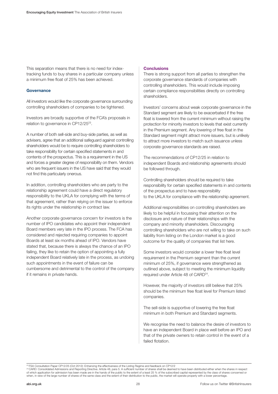This separation means that there is no need for indextracking funds to buy shares in a particular company unless a minimum free float of 25% has been achieved.

#### **Governance**

All investors would like the corporate governance surrounding controlling shareholders of companies to be tightened.

Investors are broadly supportive of the FCA's proposals in relation to governance in CP12/2523.

A number of both sell-side and buy-side parties, as well as advisers, agree that an additional safeguard against controlling shareholders would be to require controlling shareholders to take responsibility for certain specified statements in and contents of the prospectus. This is a requirement in the US and forces a greater degree of responsibility on them. Vendors who are frequent issuers in the US have said that they would not find this particularly onerous.

In addition, controlling shareholders who are party to the relationship agreement could have a direct regulatory responsibility to the UKLA for complying with the terms of that agreement, rather than relying on the issuer to enforce its rights under the relationship in contract law.

Another corporate governance concern for investors is the number of IPO candidates who appoint their independent Board members very late in the IPO process. The FCA has considered and rejected requiring companies to appoint Boards at least six months ahead of IPO. Vendors have stated that, because there is always the chance of an IPO failing, they like to retain the option of appointing a fully independent Board relatively late in the process, as undoing such appointments in the event of failure can be cumbersome and detrimental to the control of the company if it remains in private hands.

#### **Conclusions**

There is strong support from all parties to strengthen the corporate governance standards of companies with controlling shareholders. This would include imposing certain compliance responsibilities directly on controlling shareholders.

Investors' concerns about weak corporate governance in the Standard segment are likely to be exacerbated if the free float is lowered from the current minimum without raising the protection for minority investors to levels that exist currently in the Premium segment. Any lowering of free float in the Standard segment might attract more issuers, but is unlikely to attract more investors to match such issuance unless corporate governance standards are raised.

The recommendations of CP12/25 in relation to independent Boards and relationship agreements should be followed through.

Controlling shareholders should be required to take responsibility for certain specified statements in and contents of the prospectus and to have responsibility to the UKLA for compliance with the relationship agreement.

Additional responsibilities on controlling shareholders are likely to be helpful in focussing their attention on the disclosure and nature of their relationships with the company and minority shareholders. Discouraging controlling shareholders who are not willing to take on such liability from listing on the London market is a good outcome for the quality of companies that list here.

Some investors would consider a lower free float level requirement in the Premium segment than the current minimum of 25%, if governance were strengthened as outlined above, subject to meeting the minimum liquidity required under Article 48 of CARD<sup>24</sup>.

However, the majority of investors still believe that 25% should be the minimum free float level for Premium listed companies.

The sell-side is supportive of lowering the free float minimum in both Premium and Standard segments.

We recognise the need to balance the desire of investors to have an independent Board in place well before an IPO and that of the private owners to retain control in the event of a failed flotation.

<sup>2</sup>ª FSA Consultation Paper CP12/25 (Oct 2012): Enhancing the effectiveness of the Listing Regime and feedback on CP12/2<br>2ª CARD: Consolidated Admissions and Reporting Directive. Article 48, para 5. A sufficient number of sh of which application for admission has been made are in the hands of the public to the extent of a least 25 % of the subscribed capital represented by the class of shares concerned or<br>when, in view of the large number of s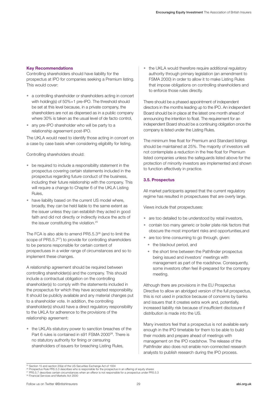#### **Key Recommendations**

Controlling shareholders should have liability for the prospectus at IPO for companies seeking a Premium listing. This would cover:

- a controlling shareholder or shareholders acting in concert with holding(s) of 50%+1 pre-IPO. The threshold should be set at this level because, in a private company, the shareholders are not as dispersed as in a public company where 30% is taken as the usual level of de facto control,
- any pre-IPO shareholder who will be party to a relationship agreement post-IPO.

The UKLA would need to identify those acting in concert on a case by case basis when considering eligibility for listing.

Controlling shareholders should:

- be required to include a responsibility statement in the prospectus covering certain statements included in the prospectus regarding future conduct of the business, including their future relationship with the company. This will require a change to Chapter 6 of the UKLA Listing Rules,
- have liability based on the current US model where, broadly, they can be held liable to the same extent as the issuer unless they can establish they acted in good faith and did not directly or indirectly induce the acts of the issuer constituting the violation.<sup>25</sup>

The FCA is also able to amend PR5.5.326 (and to limit the scope of PR5.5.7<sup>27</sup>) to provide for controlling shareholders to be persons responsible for certain content of prospectuses in a wider range of circumstances and so to implement these changes.

A relationship agreement should be required between controlling shareholder(s) and the company. This should include a contractual obligation on the controlling shareholder(s) to comply with the statements included in the prospectus for which they have accepted responsibility. It should be publicly available and any material changes put to a shareholder vote. In addition, the controlling shareholder(s) should have a direct regulatory responsibility to the UKLA for adherence to the provisions of the relationship agreement:

• the UKLA's statutory power to sanction breaches of the Part 6 rules is contained in s91 FSMA 2000<sup>28</sup>. There is no statutory authority for fining or censuring shareholders of issuers for breaching Listing Rules,

the UKLA would therefore require additional regulatory authority through primary legislation (an amendment to FSMA 2000) in order to allow it to make Listing Rules that impose obligations on controlling shareholders and to enforce those rules directly.

There should be a phased appointment of independent directors in the months leading up to the IPO. An independent Board should be in place at the latest one month ahead of announcing the intention to float. The requirement for an independent Board should be a continuing obligation once the company is listed under the Listing Rules.

The minimum free float for Premium and Standard listings should be maintained at 25%. The majority of investors will not contemplate a reduction in the free float for Premium listed companies unless the safeguards listed above for the protection of minority investors are implemented and shown to function effectively in practice.

#### **3.5. Prospectus**

All market participants agreed that the current regulatory regime has resulted in prospectuses that are overly large.

Views include that prospectuses:

- are too detailed to be understood by retail investors,
- contain too many generic or boiler plate risk factors that obscure the most important risks and opportunities,and
- are too time consuming to go through, given:
	- the blackout period, and
	- the short time between the Pathfinder prospectus being issued and investors' meetings with management as part of the roadshow. Consequently, some investors often feel ill-prepared for the company meeting.

Although there are provisions in the EU Prospectus Directive to allow an abridged version of the full prospectus, this is not used in practice because of concerns by banks and issuers that it creates extra work and, potentially, increased liability risk because of insufficient disclosure if distribution is made into the US.

Many investors feel that a prospectus is not available early enough in the IPO timetable for them to be able to build their models and prepare ahead of meetings with management on the IPO roadshow. The release of the Pathfinder also does not enable non-connected research analysts to publish research during the IPO process.

<sup>&</sup>lt;sup>25</sup> Section 15 and section 20(a) of the US Securities Exchange Act of 1934

<sup>26</sup> Prospectus Rule PR5.5.3 describes who is responsible for the prospectus in an offering of equity shares

<sup>&</sup>lt;sup>27</sup> PR5.5.7 describes certain circumstances when an offeror is not responsible for a prospectus under PR5.5.3<br><sup>28</sup> Financial Services and Markets Act 2000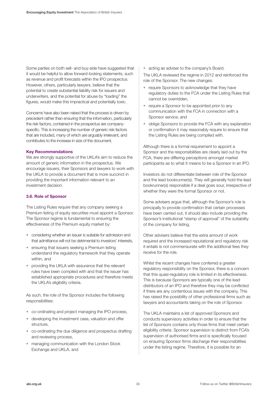Some parties on both sell- and buy-side have suggested that it would be helpful to allow forward-looking statements, such as revenue and profit forecasts within the IPO prospectus. However, others, particularly lawyers, believe that the potential to create substantial liability risk for issuers and underwriters, and the potential for abuse by "loading" the figures, would make this impractical and potentially toxic.

Concerns have also been raised that the process is driven by precedent rather than ensuring that the information, particularly the risk factors, contained in the prospectus are companyspecific. This is increasing the number of generic risk factors that are included, many of which are arguably irrelevant, and contributes to the increase in size of the document.

#### **Key Recommendations**

We are strongly supportive of the UKLA's aim to reduce the amount of generic information in the prospectus. We encourage issuers, their Sponsors and lawyers to work with the UKLA to provide a document that is more succinct in providing the important information relevant to an investment decision.

#### **3.6. Role of Sponsor**

The Listing Rules require that any company seeking a Premium listing of equity securities must appoint a Sponsor. The Sponsor regime is fundamental to ensuring the effectiveness of the Premium equity market by:

- considering whether an issuer is suitable for admission and that admittance will not be detrimental to investors' interests,
- ensuring that issuers seeking a Premium listing understand the regulatory framework that they operate within, and
- providing the UKLA with assurance that the relevant rules have been complied with and that the issuer has established appropriate procedures and therefore meets the UKLA's eligibility criteria.

As such, the role of the Sponsor includes the following responsibilities:

- co-ordinating and project managing the IPO process,
- developing the investment case, valuation and offer structure,
- co-ordinating the due diligence and prospectus drafting and reviewing process,
- managing communication with the London Stock Exchange and UKLA, and

• acting as adviser to the company's Board.

The UKLA reviewed the regime in 2012 and reinforced the role of the Sponsor. The new changes:

- require Sponsors to acknowledge that they have regulatory duties to the FCA under the Listing Rules that cannot be overridden,
- require a Sponsor to be appointed prior to any communication with the FCA in connection with a Sponsor service, and
- oblige Sponsors to provide the FCA with any explanation or confirmation it may reasonably require to ensure that the Listing Rules are being complied with.

Although there is a formal requirement to appoint a Sponsor and the responsibilities are clearly laid out by the FCA, there are differing perceptions amongst market participants as to what it means to be a Sponsor in an IPO.

Investors do not differentiate between role of the Sponsor and the lead bookrunner(s). They will generally hold the lead bookrunner(s) responsible if a deal goes sour, irrespective of whether they were the formal Sponsor or not.

Some advisers argue that, although the Sponsor's role is principally to provide confirmation that certain processes have been carried out, it should also include providing the Sponsor's institutional "stamp of approval" of the suitability of the company for listing.

Other advisers believe that the extra amount of work required and the increased reputational and regulatory risk it entails is not commensurate with the additional fees they receive for the role.

Whilst the recent changes have conferred a greater regulatory responsibility on the Sponsor, there is a concern that this quasi-regulatory role is limited in its effectiveness. This is because Sponsors are typically one of the lead distributors of an IPO and therefore they may be conflicted if there are any contentious issues with the company. This has raised the possibility of other professional firms such as lawyers and accountants taking on the role of Sponsor.

The UKLA maintains a list of approved Sponsors and conducts supervisory activities in order to ensure that the list of Sponsors contains only those firms that meet certain eligibility criteria. Sponsor supervision is distinct from FCA's supervision of authorised firms and is specifically focused on ensuring Sponsor firms discharge their responsibilities under the listing regime. Therefore, it is possible for an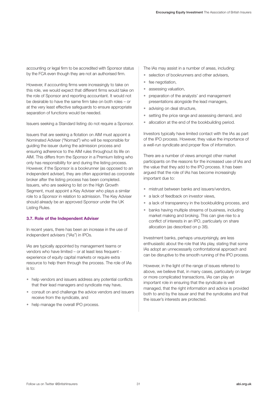accounting or legal firm to be accredited with Sponsor status by the FCA even though they are not an authorised firm.

However, if accounting firms were increasingly to take on this role, we would expect that different firms would take on the role of Sponsor and reporting accountant. It would not be desirable to have the same firm take on both roles – or at the very least effective safeguards to ensure appropriate separation of functions would be needed.

Issuers seeking a Standard listing do not require a Sponsor.

Issuers that are seeking a flotation on AIM must appoint a Nominated Adviser ("Nomad") who will be responsible for guiding the issuer during the admission process and ensuring adherence to the AIM rules throughout its life on AIM. This differs from the Sponsor in a Premium listing who only has responsibility for and during the listing process. However, if the Sponsor is a bookrunner (as opposed to an independent adviser), they are often appointed as corporate broker after the listing process has been completed. Issuers, who are seeking to list on the High Growth Segment, must appoint a Key Adviser who plays a similar role to a Sponsor in relation to admission. The Key Adviser should already be an approved Sponsor under the UK Listing Rules.

#### **3.7. Role of the Independent Adviser**

In recent years, there has been an increase in the use of independent advisers ("IAs") in IPOs.

IAs are typically appointed by management teams or vendors who have limited – or at least less frequent experience of equity capital markets or require extra resource to help them through the process. The role of IAs is to:

- help vendors and issuers address any potential conflicts that their lead managers and syndicate may have,
- consult on and challenge the advice vendors and issuers receive from the syndicate, and
- help manage the overall IPO process.

The IAs may assist in a number of areas, including:

- selection of bookrunners and other advisers,
- fee negotiation,
- assessing valuation,
- preparation of the analysts' and management presentations alongside the lead managers,
- advising on deal structure,
- setting the price range and assessing demand, and
- allocation at the end of the bookbuilding period.

Investors typically have limited contact with the IAs as part of the IPO process. However, they value the importance of a well-run syndicate and proper flow of information.

There are a number of views amongst other market participants on the reasons for the increased use of IAs and the value that they add to the IPO process. It has been argued that the role of IAs has become increasingly important due to:

- mistrust between banks and issuers/vendors,
- a lack of feedback on investor views,
- a lack of transparency in the bookbuilding process, and
- banks having multiple streams of business, including market making and broking. This can give rise to a conflict of interests in an IPO, particularly on share allocation (as described on p 38).

Investment banks, perhaps unsurprisingly, are less enthusiastic about the role that IAs play, stating that some IAs adopt an unnecessarily confrontational approach and can be disruptive to the smooth running of the IPO process.

However, in the light of the range of issues referred to above, we believe that, in many cases, particularly on larger or more complicated transactions, IAs can play an important role in ensuring that the syndicate is well managed, that the right information and advice is provided both to and by the issuer and that the syndicates and that the issuer's interests are protected.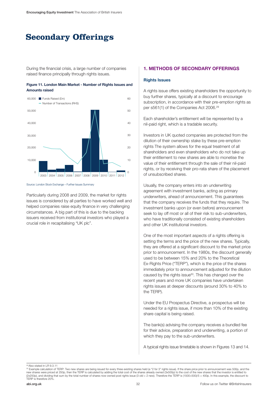### **Secondary Offerings**

During the financial crisis, a large number of companies raised finance principally through rights issues.





Source: London Stock Exchange – Further Issues Summary

Particularly during 2008 and 2009, the market for rights issues is considered by all parties to have worked well and helped companies raise equity finance in very challenging circumstances. A big part of this is due to the backing issuers received from institutional investors who played a crucial role in recapitalising "UK plc".

#### **1. METHODS OF SECONDARY OFFERINGS**

#### **Rights Issues**

A rights issue offers existing shareholders the opportunity to buy further shares, typically at a discount to encourage subscription, in accordance with their pre-emption rights as per s561(1) of the Companies Act 2006.29

Each shareholder's entitlement will be represented by a nil-paid right, which is a tradable security.

Investors in UK quoted companies are protected from the dilution of their ownership stake by these pre-emption rights The system allows for the equal treatment of all shareholders and even shareholders who do not take up their entitlement to new shares are able to monetise the value of their entitlement through the sale of their nil-paid rights, or by receiving their pro-rata share of the placement of unsubscribed shares.

Usually, the company enters into an underwriting agreement with investment banks, acting as primary underwriters, ahead of announcement. This guarantees that the company receives the funds that they require. The investment banks upon (or even before) announcement seek to lay off most or all of their risk to sub-underwriters, who have traditionally consisted of existing shareholders and other UK institutional investors.

One of the most important aspects of a rights offering is setting the terms and the price of the new shares. Typically, they are offered at a significant discount to the market price prior to announcement. In the 1980s, the discount generally used to be between 15% and 20% to the Theoretical Ex-Rights Price ("TERP"), which is the price of the shares immediately prior to announcement adjusted for the dilution caused by the rights issue<sup>30</sup>. This has changed over the recent years and more UK companies have undertaken rights issues at deeper discounts (around 30% to 40% to the TERP).

Under the EU Prospectus Directive, a prospectus will be needed for a rights issue, if more than 10% of the existing share capital is being raised.

The bank(s) advising the company receives a bundled fee for their advice, preparation and underwriting, a portion of which they pay to the sub-underwriters.

A typical rights issue timetable is shown in Figures 13 and 14.

<sup>29</sup> Also stated in LR 9.3.11

<sup>&</sup>lt;sup>30</sup> Example calculation of TERP: Two new shares are being issued for every three existing shares held (a "2 for 3" rights issue). If the share price prior to announcement was 500p, and the<br>new shares were priced at 250p, (2x250p), and dividing that sum by the total number of shares now owned post rights issue (3 old + 2 new). Therefore the TERP is (1500+500)/5 = 400p. In this example, the discount to TERP is therefore 20%.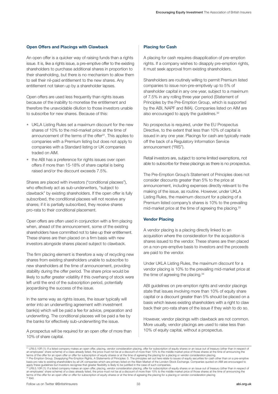#### **Open Offers and Placings with Clawback**

An open offer is a quicker way of raising funds than a rights issue. It is, like a rights issue, a pre-emptive offer to the existing shareholders to purchase additional shares in proportion to their shareholding, but there is no mechanism to allow them to sell their nil-paid entitlement to the new shares. Any entitlement not taken up by a shareholder lapses.

Open offers are used less frequently than rights issues because of the inability to monetise the entitlement and therefore the unavoidable dilution to those investors unable to subscribe for new shares. Because of this:

- UKLA Listing Rules set a maximum discount for the new shares of 10% to the mid-market price at the time of announcement of the terms of the offer<sup>31</sup>. This applies to companies with a Premium listing but does not apply to companies with a Standard listing or UK companies traded on AIM.
- the ABI has a preference for rights issues over open offers if more than 15-18% of share capital is being raised and/or the discount exceeds 7.5%.

Shares are placed with investors ("conditional placees"), who effectively act as sub-underwriters, "subject to clawback" by existing shareholders. If the open offer is fully subscribed, the conditional placees will not receive any shares; if it is partially subscribed, they receive shares pro-rata to their conditional placement.

Open offers are often used in conjunction with a firm placing when, ahead of the announcement, some of the existing shareholders have committed not to take up their entitlement. These shares are then placed on a firm basis with new investors alongside shares placed subject to clawback.

The firm placing element is therefore a way of recycling new shares from existing shareholders unable to subscribe to new shareholders at the time of announcement, providing stability during the offer period. The share price would be likely to suffer greater volatility if this overhang of stock were left until the end of the subscription period, potentially jeopardising the success of the issue.

In the same way as rights issues, the issuer typically will enter into an underwriting agreement with investment bank(s) which will be paid a fee for advice, preparation and underwriting. The conditional placees will be paid a fee by the banks for effectively sub-underwriting the issue.

A prospectus will be required for an open offer of more than 10% of share capital.

#### **Placing for Cash**

A placing for cash requires disapplication of pre-emption rights. If a company wishes to disapply pre-emption rights, it must seek approval from existing shareholders.

Shareholders are routinely willing to permit Premium listed companies to issue non-pre-emptively up to 5% of shareholder capital in any one year, subject to a maximum of 7.5% in any rolling three year period (Statement of Principles by the Pre-Emption Group, which is supported by the ABI, NAPF and IMA). Companies listed on AIM are also encouraged to apply the guidelines.<sup>32</sup>

No prospectus is required, under the EU Prospectus Directive, to the extent that less than 10% of capital is issued in any one year. Placings for cash are typically made off the back of a Regulatory Information Service announcement ("RIS").

Retail investors are, subject to some limited exemptions, not able to subscribe for these placings as there is no prospectus.

The Pre-Emption Group's Statement of Principles does not consider discounts greater than 5% to the price at announcement, including expenses directly relevant to the making of the issue, as routine. However, under UKLA Listing Rules, the maximum discount for a placing of a Premium listed company's shares is 10% to the prevailing mid-market price at the time of agreeing the placing.<sup>33</sup>

#### **Vendor Placing**

A vendor placing is a placing directly linked to an acquisition where the consideration for the acquisition is shares issued to the vendor. These shares are then placed on a non-pre-emptive basis to investors and the proceeds are paid to the vendor.

Under UKLA Listing Rules, the maximum discount for a vendor placing is 10% to the prevailing mid-market price at the time of agreeing the placing.<sup>34</sup>

ABI guidelines on pre-emption rights and vendor placings state that issues involving more than 10% of equity share capital or a discount greater than 5% should be placed on a basis which leaves existing shareholders with a right to claw back their pro-rata share of the issue if they wish to do so.

However, vendor placings with clawback are not common. More usually, vendor placings are used to raise less than 10% of equity capital, without a prospectus.

<sup>&</sup>lt;sup>31</sup> LR9.5.10R (1): If a listed company makes an open offer, placing, vendor consideration placing, offer for subscription of equity shares or an issue out of treasury (other than in respect of<br>an employees' share scheme) terms of the offer for an open offer or offer for subscription of equity shares or at the time of agreeing the placing for a placing or vendor consideration placing.<br><sup>32</sup> Pre-Emption Group, Disapplying Pre-Emption Rights,

basis pro rata to existing shareholders by all UK companies which are primary listed on the Main Market of the London Stock Exchange. Companies quoted on AIM are encouraged to apply these guidelines but investors recognise that greater flexibility is likely to be justified in the case of such companies

<sup>&</sup>lt;sup>33</sup> LR9.5.10R (1): If a listed company makes an open offer, placing, vendor consideration placing, offer for subscription of equity shares or an issue out of treasury (other than in respect of<br>an employees' share scheme) terms of the offer for an open offer or offer for subscription of equity shares or at the time of agreeing the placing for a placing or vendor consideration placing 34 Ibid.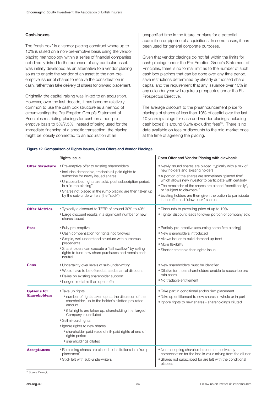#### **Cash-boxes**

The "cash box" is a vendor placing construct where up to 10% is raised on a non-pre-emptive basis using the vendor placing methodology within a series of financial companies not directly linked to the purchase of any particular asset. It was initially developed as an alternative to a vendor placing so as to enable the vendor of an asset to the non-preemptive issuer of shares to receive the consideration in cash, rather than take delivery of shares for onward placement.

Originally, the capital raising was linked to an acquisition. However, over the last decade, it has become relatively common to use the cash box structure as a method of circumventing the Pre-Emption Group's Statement of Principles restricting placings for cash on a non-preemptive basis to 5%/7.5%. Instead of being used for the immediate financing of a specific transaction, the placing might be loosely connected to an acquisition at an

unspecified time in the future, or plans for a potential acquisition or pipeline of acquisitions. In some cases, it has been used for general corporate purposes.

Given that vendor placings do not fall within the limits for cash placings under the Pre-Emption Group's Statement of Principles, there is no formal limit as to the number of such cash box placings that can be done over any time period, save restrictions determined by already authorised share capital and the requirement that any issuance over 10% in any calendar year will require a prospectus under the EU Prospectus Directive.

The average discount to the preannouncement price for placings of shares of less than 10% of capital over the last 10 years (placings for cash and vendor placings including cash boxes) is around 3.9% excluding fees<sup>35</sup>. There is no data available on fees or discounts to the mid-market price at the time of agreeing the placing.

|  | Figure 12. Comparison of Rights Issues, Open Offers and Vendor Placings |
|--|-------------------------------------------------------------------------|
|  |                                                                         |

|                                           | <b>Rights issue</b>                                                                                                                                                                                                                                                                                                                                                                           | Open Offer and Vendor Placing with clawback                                                                                                                                                                                                                                                                                                                                                                      |
|-------------------------------------------|-----------------------------------------------------------------------------------------------------------------------------------------------------------------------------------------------------------------------------------------------------------------------------------------------------------------------------------------------------------------------------------------------|------------------------------------------------------------------------------------------------------------------------------------------------------------------------------------------------------------------------------------------------------------------------------------------------------------------------------------------------------------------------------------------------------------------|
| <b>Offer Structure</b>                    | • Pre-emptive offer to existing shareholders<br>· Includes detachable, tradable nil-paid rights to<br>subscribe for newly issued shares<br>· Unsubscribed rights are sold, post subscription period,<br>in a "rump placing"<br>• Shares not placed in the rump placing are then taken up<br>by the sub-underwriters (the "stick")                                                             | . Newly issued shares are placed, typically with a mix of<br>new holders and existing holders<br>• A portion of the shares are sometimes "placed firm"<br>which allows new investor to participate with certainty<br>. The remainder of the shares are placed "conditionally",<br>or "subject to clawback"<br>• Existing holders are then given the option to participate<br>in the offer and "claw back" shares |
| <b>Offer Metrics</b>                      | . Typically a discount to TERP of around 30% to 40%<br>• Large discount results in a significant number of new<br>shares issued                                                                                                                                                                                                                                                               | • Discounts to prevailing price of up to 10%<br>. Tighter discount leads to lower portion of company sold                                                                                                                                                                                                                                                                                                        |
| <b>Pros</b>                               | • Fully pre-emptive<br>. Cash compensation for rights not followed<br>· Simple, well understood structure with numerous<br>precedents<br>• Shareholders can execute a "tail swallow" by selling<br>rights to fund new share purchases and remain cash<br>neutral                                                                                                                              | • Partially pre-emptive (assuming some firm placing)<br>• New shareholders introduced<br>• Allows issuer to build demand up front<br>• More flexibility<br>· Shorter timetable than rights issue                                                                                                                                                                                                                 |
| <b>Cons</b>                               | • Uncertainty over levels of sub-underwriting<br>. Would have to be offered at a substantial discount<br>• Relies on existing shareholder support<br>• Longer timetable than open offer                                                                                                                                                                                                       | • New shareholders must be identified<br>. Dilutive for those shareholders unable to subscribe pro<br>rata share<br>• No tradable entitlement                                                                                                                                                                                                                                                                    |
| <b>Options for</b><br><b>Shareholders</b> | • Take up rights<br>. number of rights taken up at, the discretion of the<br>shareholder, up to the holder's allotted pro-rated<br>amount<br>• if full rights are taken up, shareholding in enlarged<br>Company is undiluted<br>• Sell nil-paid rights<br>• Ignore rights to new shares<br>· shareholder paid value of nil- paid rights at end of<br>rights period<br>· shareholdings diluted | • Take part in conditional and/or firm placement<br>. Take up entitlement to new shares in whole or in part<br>· Ignore rights to new shares - shareholdings diluted                                                                                                                                                                                                                                             |
| <b>Acceptances</b>                        | . Remaining shares are placed to institutions in a "rump<br>placement"<br>• Stick left with sub-underwriters                                                                                                                                                                                                                                                                                  | • Non-accepting shareholders do not receive any<br>compensation for the loss in value arising from the dilution<br>• Shares not subscribed for are left with the conditional<br>placees                                                                                                                                                                                                                          |

<sup>35</sup> Source: Dealogic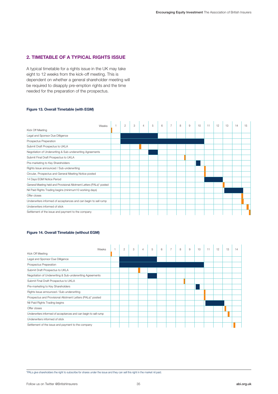#### **2. TIMETABLE OF A TYPICAL RIGHTS ISSUE**

A typical timetable for a rights issue in the UK may take eight to 12 weeks from the kick-off meeting. This is dependent on whether a general shareholder meeting will be required to disapply pre-emption rights and the time needed for the preparation of the prospectus.

#### **Figure 13. Overall Timetable (with EGM)**

|                                                                       | $\overline{2}$ | 3 | $\overline{4}$ | 5 | 6 | $\overline{7}$ | 8 | 9 | 10 | 11 | 12 | 13 | 14 | 15 |
|-----------------------------------------------------------------------|----------------|---|----------------|---|---|----------------|---|---|----|----|----|----|----|----|
| Weeks<br>Kick Off Meeting                                             |                |   |                |   |   |                |   |   |    |    |    |    |    |    |
| Legal and Sponsor Due Dilligence                                      |                |   |                |   |   |                |   |   |    |    |    |    |    |    |
| Prospectus Preperation                                                |                |   |                |   |   |                |   |   |    |    |    |    |    |    |
| Submit Draft Prospectus to UKLA                                       |                |   |                |   |   |                |   |   |    |    |    |    |    |    |
| Negotiation of Underwriting & Sub-underwriting Agreements             |                |   |                |   |   |                |   |   |    |    |    |    |    |    |
| Submit Final Draft Prospectus to UKLA                                 |                |   |                |   |   |                |   |   |    |    |    |    |    |    |
| Pre-marketing to Key Shareholders                                     |                |   |                |   |   |                |   |   |    |    |    |    |    |    |
| Rights Issue announced / Sub-underwriting                             |                |   |                |   |   |                |   |   |    |    |    |    |    |    |
| Circular, Prospectus and General Meeting Notice posted                |                |   |                |   |   |                |   |   |    |    |    |    |    |    |
| 14 Days EGM Notice Period                                             |                |   |                |   |   |                |   |   |    |    |    |    |    |    |
| General Meeting held and Provisional Allotment Letters (PALs)* posted |                |   |                |   |   |                |   |   |    |    |    |    |    |    |
| Nil Paid Rights Trading begins (minimum10 working days)               |                |   |                |   |   |                |   |   |    |    |    |    |    |    |
| Offer closes                                                          |                |   |                |   |   |                |   |   |    |    |    |    |    |    |
| Underwriters informed of acceptances and can begin to sell rump       |                |   |                |   |   |                |   |   |    |    |    |    |    |    |
| Underwriters informed of stick                                        |                |   |                |   |   |                |   |   |    |    |    |    |    |    |
| Settlement of the issue and payment to the company                    |                |   |                |   |   |                |   |   |    |    |    |    |    |    |

#### **Figure 14. Overall Timetable (without EGM)**

| Weeks                                                           | $\overline{2}$ | 3 | $\overline{4}$ | 5 | 6 <sup>6</sup> | $\overline{7}$ | 8 | $\overline{9}$ | 10 | 11 | 12 | 13 |  |
|-----------------------------------------------------------------|----------------|---|----------------|---|----------------|----------------|---|----------------|----|----|----|----|--|
| Kick Off Meeting                                                |                |   |                |   |                |                |   |                |    |    |    |    |  |
| Legal and Sponsor Due Dilligence                                |                |   |                |   |                |                |   |                |    |    |    |    |  |
| Prospectus Preperation                                          |                |   |                |   |                |                |   |                |    |    |    |    |  |
| Submit Draft Prospectus to UKLA                                 |                |   |                |   |                |                |   |                |    |    |    |    |  |
| Negotiation of Underwriting & Sub-underwriting Agreements       |                |   |                |   |                |                |   |                |    |    |    |    |  |
| Submit Final Draft Prospectus to UKLA                           |                |   |                |   |                |                |   |                |    |    |    |    |  |
| Pre-marketing to Key Shareholders                               |                |   |                |   |                |                |   |                |    |    |    |    |  |
| Rights Issue announced / Sub-underwriting                       |                |   |                |   |                |                |   |                |    |    |    |    |  |
| Prospectus and Provisional Allotment Letters (PALs)* posted     |                |   |                |   |                |                |   |                |    |    |    |    |  |
| Nil Paid Rights Trading begins                                  |                |   |                |   |                |                |   |                |    |    |    |    |  |
| Offer closes                                                    |                |   |                |   |                |                |   |                |    |    |    |    |  |
| Underwriters informed of acceptances and can begin to sell rump |                |   |                |   |                |                |   |                |    |    |    |    |  |
| Underwriters informed of stick                                  |                |   |                |   |                |                |   |                |    |    |    |    |  |
| Settlement of the issue and payment to the company              |                |   |                |   |                |                |   |                |    |    |    |    |  |

\*PALs give shareholders the right to subscribe for shares under the issue and they can sell this right in the market nil paid.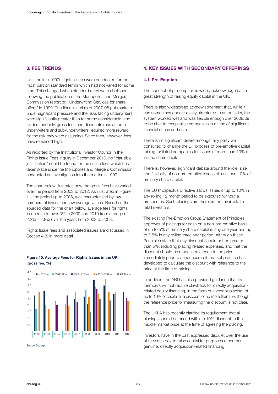#### **3. FEE TRENDS**

Until the late 1990s rights issues were conducted for the most part on standard terms which had not varied for some time. This changed when standard rates were abolished following the publication of the Monopolies and Mergers Commission report on "Underwriting Services for share offers" in 1999. The financial crisis of 2007-08 put markets under significant pressure and the risks facing underwriters were significantly greater than for some considerable time. Understandably, gross fees and discounts rose as both underwriters and sub-underwriters required more reward for the risk they were assuming. Since then, however, fees have remained high.

As reported by the Institutional Investor Council in the Rights Issue Fees Inquiry in December 2010, no "plausible justification" could be found for the rise in fees which has taken place since the Monopolies and Mergers Commission conducted an investigation into the matter in 1999.

The chart below illustrates how the gross fees have varied over the period from 2003 to 2012. As illustrated in Figure 11, the period up to 2008, was characterised by low numbers of issues and low average values. Based on the sourced data for the chart below, average fees for rights issue rose to over 3% in 2009 and 2010 from a range of 2.2% – 2.8% over the years from 2003 to 2008.

Rights Issue fees and associated issues are discussed in Section 4.3. in more detail.

#### **Figure 15. Average Fees for Rights Issues in the UK (gross fee, %)**



#### **4. KEY ISSUES WITH SECONDARY OFFERINGS**

#### **4.1. Pre-Emption**

The concept of pre-emption is widely acknowledged as a great strength of raising equity capital in the UK.

There is also widespread acknowledgement that, while it can sometimes appear overly structured to an outsider, the system worked well and was flexible enough over 2008/09 to be able to recapitalise companies in a time of significant financial stress and crisis.

There is no significant desire amongst any party we consulted to change the UK process of pre-emptive capital raising for listed companies for issues of more than 10% of issued share capital.

There is, however, significant debate around the role, size and flexibility of non-pre-emptive issues of less than 10% of ordinary share capital.

The EU Prospectus Directive allows issues of up to 10% in any rolling 12 month period to be executed without a prospectus. Such placings are therefore not available to retail investors.

The existing Pre-Emption Group Statement of Principles approves of placings for cash on a non-pre-emptive basis of up to 5% of ordinary share capital in any one year and up to 7.5% in any rolling three-year period. Although these Principles state that any discount should not be greater than 5%, including placing related expenses, and that the discount should be made in reference to the price immediately prior to announcement, market practice has developed to calculate the discount with reference to the price at the time of pricing.

In addition, the ABI has also provided guidance that its members will not require clawback for directly acquisitionrelated equity financing, in the form of a vendor placing, of up to 10% of capital at a discount of no more than 5%, though the reference price for measuring the discount is not clear.

The UKLA has recently clarified its requirement that all placings should be priced within a 10% discount to the middle market price at the time of agreeing the placing.

Investors have in the past expressed disquiet over the use of the cash box to raise capital for purposes other than genuine, directly acquisition-related financing.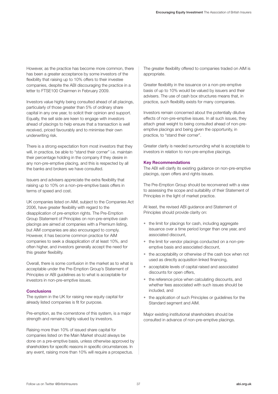However, as the practice has become more common, there has been a greater acceptance by some investors of the flexibility that raising up to 10% offers to their investee companies, despite the ABI discouraging the practice in a letter to FTSE100 Chairmen in February 2009.

Investors value highly being consulted ahead of all placings, particularly of those greater than 5% of ordinary share capital in any one year, to solicit their opinion and support. Equally, the sell side are keen to engage with investors ahead of placings to help ensure that a transaction is well received, priced favourably and to minimise their own underwriting risk.

There is a strong expectation from most investors that they will, in practice, be able to "stand their corner" i.e. maintain their percentage holding in the company if they desire in any non-pre-emptive placing, and this is respected by all the banks and brokers we have consulted.

Issuers and advisers appreciate the extra flexibility that raising up to 10% on a non-pre-emptive basis offers in terms of speed and cost.

UK companies listed on AIM, subject to the Companies Act 2006, have greater flexibility with regard to the disapplication of pre-emption rights. The Pre-Emption Group Statement of Principles on non-pre-emptive cash placings are aimed at companies with a Premium listing, but AIM companies are also encouraged to comply. However, it has become common practice for AIM companies to seek a disapplication of at least 10%, and often higher, and investors generally accept the need for this greater flexibility.

Overall, there is some confusion in the market as to what is acceptable under the Pre-Emption Group's Statement of Principles or ABI guidelines as to what is acceptable for investors in non-pre-emptive issues.

#### **Conclusions**

The system in the UK for raising new equity capital for already listed companies is fit for purpose.

Pre-emption, as the cornerstone of this system, is a major strength and remains highly valued by investors.

Raising more than 10% of issued share capital for companies listed on the Main Market should always be done on a pre-emptive basis, unless otherwise approved by shareholders for specific reasons in specific circumstances. In any event, raising more than 10% will require a prospectus.

The greater flexibility offered to companies traded on AIM is appropriate.

Greater flexibility in the issuance on a non-pre-emptive basis of up to 10% would be valued by issuers and their advisers. The use of cash box structures means that, in practice, such flexibility exists for many companies.

Investors remain concerned about the potentially dilutive effects of non-pre-emptive issues. In all such issues, they attach great weight to being consulted ahead of non-preemptive placings and being given the opportunity, in practice, to "stand their corner".

Greater clarity is needed surrounding what is acceptable to investors in relation to non-pre-emptive placings.

#### **Key Recommendations**

The ABI will clarify its existing guidance on non-pre-emptive placings, open offers and rights issues.

The Pre-Emption Group should be reconvened with a view to assessing the scope and suitability of their Statement of Principles in the light of market practice.

At least, the revised ABI guidance and Statement of Principles should provide clarity on:

- the limit for placings for cash, including aggregate issuance over a time period longer than one year, and associated discount,
- the limit for vendor placings conducted on a non-preemptive basis and associated discount,
- the acceptability or otherwise of the cash box when not used as directly acquisition linked financing,
- acceptable levels of capital raised and associated discounts for open offers,
- the reference price when calculating discounts, and whether fees associated with such issues should be included, and
- the application of such Principles or guidelines for the Standard segment and AIM.

Major existing institutional shareholders should be consulted in advance of non-pre-emptive placings.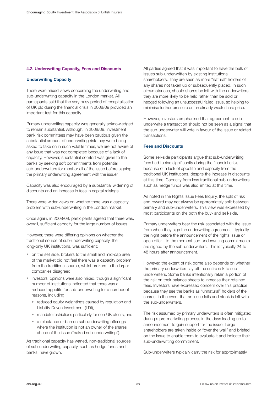#### **4.2. Underwriting Capacity, Fees and Discounts**

#### **Underwriting Capacity**

There were mixed views concerning the underwriting and sub-underwriting capacity in the London market. All participants said that the very busy period of recapitalisation of UK plc during the financial crisis in 2008/09 provided an important test for this capacity.

Primary underwriting capacity was generally acknowledged to remain substantial. Although, in 2008/09, investment bank risk committees may have been cautious given the substantial amount of underwriting risk they were being asked to take on in such volatile times, we are not aware of any issue that was not completed because of a lack of capacity. However, substantial comfort was given to the banks by seeking soft commitments from potential sub-underwriters for most or all of the issue before signing the primary underwriting agreement with the issuer.

Capacity was also encouraged by a substantial widening of discounts and an increase in fees in capital raisings.

There were wider views on whether there was a capacity problem with sub-underwriting in the London market.

Once again, in 2008/09, participants agreed that there was, overall, sufficient capacity for the large number of issues.

However, there were differing opinions on whether the traditional source of sub-underwriting capacity, the long-only UK institutions, was sufficient:

- on the sell side, brokers to the small and mid-cap area of the market did not feel there was a capacity problem from the traditional source, whilst brokers to the larger companies disagreed,
- investors' opinions were also mixed, though a significant number of institutions indicated that there was a reduced appetite for sub-underwriting for a number of reasons, including:
	- reduced equity weightings caused by regulation and Liability Driven Investment (LDI),
	- mandate restrictions particularly for non-UK clients, and
	- a reluctance or ban on sub-underwriting offerings where the institution is not an owner of the shares ahead of the issue ("naked sub-underwriting").

As traditional capacity has waned, non-traditional sources of sub-underwriting capacity, such as hedge funds and banks, have grown.

All parties agreed that it was important to have the bulk of issues sub-underwritten by existing institutional shareholders. They are seen as more "natural" holders of any shares not taken up or subsequently placed. In such circumstances, should shares be left with the underwriters, they are more likely to be held rather than be sold or hedged following an unsuccessful failed issue, so helping to minimise further pressure on an already weak share price.

However, investors emphasised that agreement to subunderwrite a transaction should not be seen as a signal that the sub-underwriter will vote in favour of the issue or related transactions.

#### **Fees and Discounts**

Some sell-side participants argue that sub-underwriting fees had to rise significantly during the financial crisis because of a lack of appetite and capacity from the traditional UK institutions, despite the increase in discounts at this time. Capacity from less traditional sub-underwriters such as hedge funds was also limited at this time.

As noted in the Rights Issue Fees Inquiry, the split of risk and reward may not always be appropriately split between primary and sub-underwriters. This view was expressed by most participants on the both the buy- and sell-side.

Primary underwriters bear the risk associated with the issue from when they sign the underwriting agreement - typically the night before the announcement of the rights issue or open offer - to the moment sub-underwriting commitments are signed by the sub-underwriters. This is typically 24 to 48 hours after announcement.

However, the extent of risk borne also depends on whether the primary underwriters lay off the entire risk to subunderwriters. Some banks intentionally retain a portion of the risk on their balance sheets to increase their retained fees. Investors have expressed concern over this practice because they see the banks as "unnatural" holders of the shares, in the event that an issue fails and stock is left with the sub-underwriters.

The risk assumed by primary underwriters is often mitigated during a pre-marketing process in the days leading up to announcement to gain support for the issue. Large shareholders are taken inside or "over the wall" and briefed on the issue to enable them to evaluate it and indicate their sub-underwriting commitment.

Sub-underwriters typically carry the risk for approximately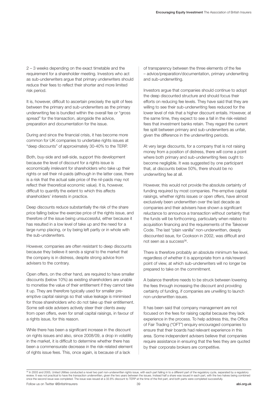2 – 3 weeks depending on the exact timetable and the requirement for a shareholder meeting. Investors who act as sub-underwriters argue that primary underwriters should reduce their fees to reflect their shorter and more limited risk period.

It is, however, difficult to ascertain precisely the split of fees between the primary and sub-underwriters as the primary underwriting fee is bundled within the overall fee or "gross spread" for the transaction, alongside the advice, preparation and documentation for the issue.

During and since the financial crisis, it has become more common for UK companies to undertake rights issues at "deep discounts" of approximately 30-40% to the TERP.

Both, buy-side and sell-side, support this development because the level of discount for a rights issue is economically irrelevant for shareholders who take up their rights or sell their nil-paids (although in the latter case, there is a risk that the actual sale price of the nil-paids may not reflect their theoretical economic value). It is, however, difficult to quantify the extent to which this affects shareholders' interests in practice.

Deep discounts reduce substantially the risk of the share price falling below the exercise price of the rights issue, and therefore of the issue being unsuccessful, either because it has resulted in a low level of take up and the need for a large rump placing, or by being left partly or in whole with the sub-underwriters.

However, companies are often resistant to deep discounts because they believe it sends a signal to the market that the company is in distress, despite strong advice from advisers to the contrary.

Open offers, on the other hand, are required to have smaller discounts (below 10%) as existing shareholders are unable to monetise the value of their entitlement if they cannot take it up. They are therefore typically used for smaller preemptive capital raisings so that value leakage is minimised for those shareholders who do not take up their entitlement. Some sell-side advisers actively steer their clients away from open offers, even for small capital raisings, in favour of a rights issue, for this reason.

While there has been a significant increase in the discount on rights issues and also, since 2008/09, a drop in volatility in the market, it is difficult to determine whether there has been a commensurate decrease in the risk-related element of rights issue fees. This, once again, is because of a lack

of transparency between the three elements of the fee – advice/preparation/documentation, primary underwriting and sub-underwriting.

Investors argue that companies should continue to adopt the deep discounted structure and should focus their efforts on reducing fee levels. They have said that they are willing to see their sub-underwriting fees reduced for the lower level of risk that a higher discount entails. However, at the same time, they expect to see a fall in the risk-related fees that investment banks retain. They regard the current fee split between primary and sub-underwriters as unfair, given the difference in the underwriting periods.

At very large discounts, for a company that is not raising money from a position of distress, there will come a point where both primary and sub-underwriting fees ought to become negligible. It was suggested by one participant that, at discounts below 50%, there should be no underwriting fee at all.

However, this would not provide the absolute certainty of funding required by most companies. Pre-emptive capital raisings, whether rights issues or open offers, have almost exclusively been underwritten over the last decade as companies and their advisers have shown a significant reluctance to announce a transaction without certainty that the funds will be forthcoming, particularly when related to acquisition financing and the requirements of the Takeover Code. The last "plain vanilla" non-underwritten, deeply discounted issue, for Cookson in 2002, was difficult and not seen as a success<sup>36</sup>.

There is therefore probably an absolute minimum fee level, regardless of whether it is appropriate from a risk/reward point of view, at which sub-underwriters will no longer be prepared to take on the commitment.

A balance therefore needs to be struck between lowering the fees through increasing the discount and providing certainty of funding, if companies are unwilling to launch non-underwritten issues.

It has been said that company management are not focused on the fees for raising capital because they lack experience in the process. To help address this, the Office of Fair Trading ("OFT") enquiry encouraged companies to ensure that their boards had relevant experience in this area. Some independent advisers believe that companies require assistance in ensuring that the fees they are quoted by their corporate brokers are competitive.

<sup>&</sup>lt;sup>36</sup> In 2003 and 2005, United Utilities conducted a novel two part non-underwritten rights issue, with each part falling in to a different part of the regulatory cycle, separated by a regulatory<br>review. It was not practica once the second issue was completed. The issue was issued at a 32.8% discount to TERP at the time of the first part, and both parts were completed successfully.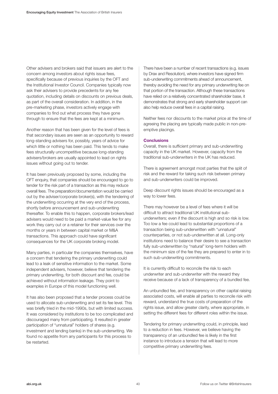Other advisers and brokers said that issuers are alert to the concern among investors about rights issue fees, specifically because of previous inquiries by the OFT and the Institutional Investor Council. Companies typically now ask their advisers to provide precedents for any fee quotation, including details on discounts on previous deals, as part of the overall consideration. In addition, in the pre-marketing phase, investors actively engage with companies to find out what process they have gone through to ensure that the fees are kept at a minimum.

Another reason that has been given for the level of fees is that secondary issues are seen as an opportunity to reward long-standing advisers for, possibly, years of advice for which little or nothing has been paid. This tends to make fees structurally uncompetitive because long-standing advisers/brokers are usually appointed to lead on rights issues without going out to tender.

It has been previously proposed by some, including the OFT enquiry, that companies should be encouraged to go to tender for the risk part of a transaction as this may reduce overall fees. The preparation/documentation would be carried out by the adviser/corporate broker(s), with the tendering of the underwriting occurring at the very end of the process, shortly before announcement and sub-underwriting thereafter. To enable this to happen, corporate brokers/lead advisers would need to be paid a market-value fee for any work they carry out or a retainer for their services over the months or years in between capital market or M&A transactions. This approach could have significant consequences for the UK corporate broking model.

Many parties, in particular the companies themselves, have a concern that tendering the primary underwriting could lead to a leak of sensitive information to the market. Some independent advisers, however, believe that tendering the primary underwriting, for both discount and fee, could be achieved without information leakage. They point to examples in Europe of this model functioning well.

It has also been proposed that a tender process could be used to allocate sub-underwriting and set its fee level. This was briefly tried in the mid-1990s, but with limited success. It was considered by institutions to be too complicated and discouraged many from participating. It resulted in greater participation of "unnatural" holders of shares (e.g. investment and lending banks) in the sub-underwriting. We found no appetite from any participants for this process to be restarted.

There have been a number of recent transactions (e.g. issues by Drax and Resolution), where investors have signed firm sub-underwriting commitments ahead of announcement, thereby avoiding the need for any primary underwriting fee on that portion of the transaction. Although these transactions have relied on a relatively concentrated shareholder base, it demonstrates that strong and early shareholder support can also help reduce overall fees in a capital raising.

Neither fees nor discounts to the market price at the time of agreeing the placing are typically made public in non-preemptive placings.

#### **Conclusions**

Overall, there is sufficient primary and sub-underwriting capacity in the UK market. However, capacity from the traditional sub-underwriters in the UK has reduced.

There is agreement amongst most parties that the split of risk and the reward for taking such risk between primary and sub-underwriters could be improved.

Deep discount rights issues should be encouraged as a way to lower fees.

There may however be a level of fees where it will be difficult to attract traditional UK institutional subunderwriters; even if the discount is high and so risk is low. Too low a fee could lead to substantial proportions of a transaction being sub-underwritten with "unnatural" counterparties, or not sub-underwritten at all. Long-only institutions need to balance their desire to see a transaction fully sub-underwritten by "natural" long-term holders with the minimum size of the fee they are prepared to enter in to such sub-underwriting commitments.

It is currently difficult to reconcile the risk to each underwriter and sub-underwriter with the reward they receive because of a lack of transparency of a bundled fee.

An unbundled fee, and transparency on other capital raising associated costs, will enable all parties to reconcile risk with reward, understand the true costs of preparation of the rights issue, and allow greater clarity, where appropriate, in setting the different fees for different roles within the issue.

Tendering for primary underwriting could, in principle, lead to a reduction in fees. However, we believe having the transparency of an unbundled fee is likely in the first instance to introduce a tension that will lead to more competitive primary underwriting fees.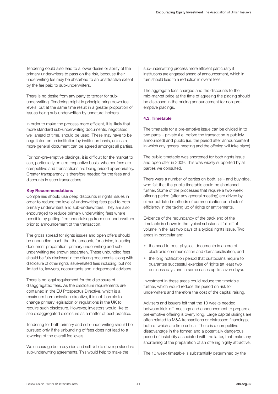Tendering could also lead to a lower desire or ability of the primary underwriters to pass on the risk, because their underwriting fee may be absorbed to an unattractive extent by the fee paid to sub-underwriters.

There is no desire from any party to tender for subunderwriting. Tendering might in principle bring down fee levels, but at the same time result in a greater proportion of issues being sub-underwritten by unnatural holders.

In order to make the process more efficient, it is likely that more standard sub-underwriting documents, negotiated well ahead of time, should be used. These may have to be negotiated on an institution by institution basis, unless a more general document can be agreed amongst all parties.

For non-pre-emptive placings, it is difficult for the market to see, particularly on a retrospective basis, whether fees are competitive and transactions are being priced appropriately. Greater transparency is therefore needed for the fees and discounts in such transactions.

#### **Key Recommendations**

Companies should use deep discounts in rights issues in order to reduce the level of underwriting fees paid to both primary underwriters and sub-underwriters. They are also encouraged to reduce primary underwriting fees where possible by getting firm undertakings from sub-underwriters prior to announcement of the transaction.

The gross spread for rights issues and open offers should be unbundled, such that the amounts for advice, including document preparation, primary underwriting and subunderwriting are shown separately. These unbundled fees should be fully disclosed in the offering documents, along with disclosure of other rights issue-related fees including, but not limited to, lawyers, accountants and independent advisers.

There is no legal requirement for the disclosure of disaggregated fees. As the disclosure requirements are contained in the EU Prospectus Directive, which is a maximum harmonisation directive, it is not feasible to change primary legislation or regulations in the UK to require such disclosure. However, investors would like to see disaggregated disclosure as a matter of best practice.

Tendering for both primary and sub-underwriting should be pursued only if the unbundling of fees does not lead to a lowering of the overall fee levels.

We encourage both buy side and sell side to develop standard sub-underwriting agreements. This would help to make the

sub-underwriting process more efficient particularly if institutions are engaged ahead of announcement, which in turn should lead to a reduction in overall fees.

The aggregate fees charged and the discounts to the mid-market price at the time of agreeing the placing should be disclosed in the pricing announcement for non-preemptive placings.

#### **4.3. Timetable**

The timetable for a pre-emptive issue can be divided in to two parts – private (i.e. before the transaction is publicly announced) and public (i.e. the period after announcement in which any general meeting and the offering will take place).

The public timetable was shortened for both rights issue and open offer in 2009. This was widely supported by all parties we consulted.

There were a number of parties on both, sell- and buy-side, who felt that the public timetable could be shortened further. Some of the processes that require a two week offering period (after any general meeting) are driven by either outdated methods of communication or a lack of efficiency in the taking up of rights or entitlements.

Evidence of the redundancy of the back end of the timetable is shown in the typical substantial fall-off of volume in the last two days of a typical rights issue. Two areas in particular are:

- the need to post physical documents in an era of electronic communication and dematerialisation, and
- the long notification period that custodians require to guarantee successful exercise of rights (at least two business days and in some cases up to seven days).

Investment in these areas could reduce the timetable further, which would reduce the period on risk for underwriters and therefore the cost of the capital raising.

Advisers and issuers felt that the 10 weeks needed between kick-off meetings and announcement to prepare a pre-emptive offering is overly long. Large capital raisings are often related to M&A transactions or distressed financings, both of which are time critical. There is a competitive disadvantage in the former, and a potentially dangerous period of instability associated with the latter, that make any shortening of the preparation of an offering highly attractive.

The 10 week timetable is substantially determined by the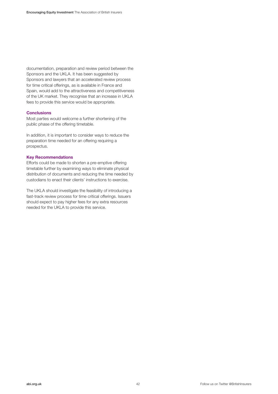documentation, preparation and review period between the Sponsors and the UKLA. It has been suggested by Sponsors and lawyers that an accelerated review process for time critical offerings, as is available in France and Spain, would add to the attractiveness and competitiveness of the UK market. They recognise that an increase in UKLA fees to provide this service would be appropriate.

#### **Conclusions**

Most parties would welcome a further shortening of the public phase of the offering timetable.

In addition, it is important to consider ways to reduce the preparation time needed for an offering requiring a prospectus.

#### **Key Recommendations**

Efforts could be made to shorten a pre-emptive offering timetable further by examining ways to eliminate physical distribution of documents and reducing the time needed by custodians to enact their clients' instructions to exercise.

The UKLA should investigate the feasibility of introducing a fast-track review process for time critical offerings. Issuers should expect to pay higher fees for any extra resources needed for the UKLA to provide this service.